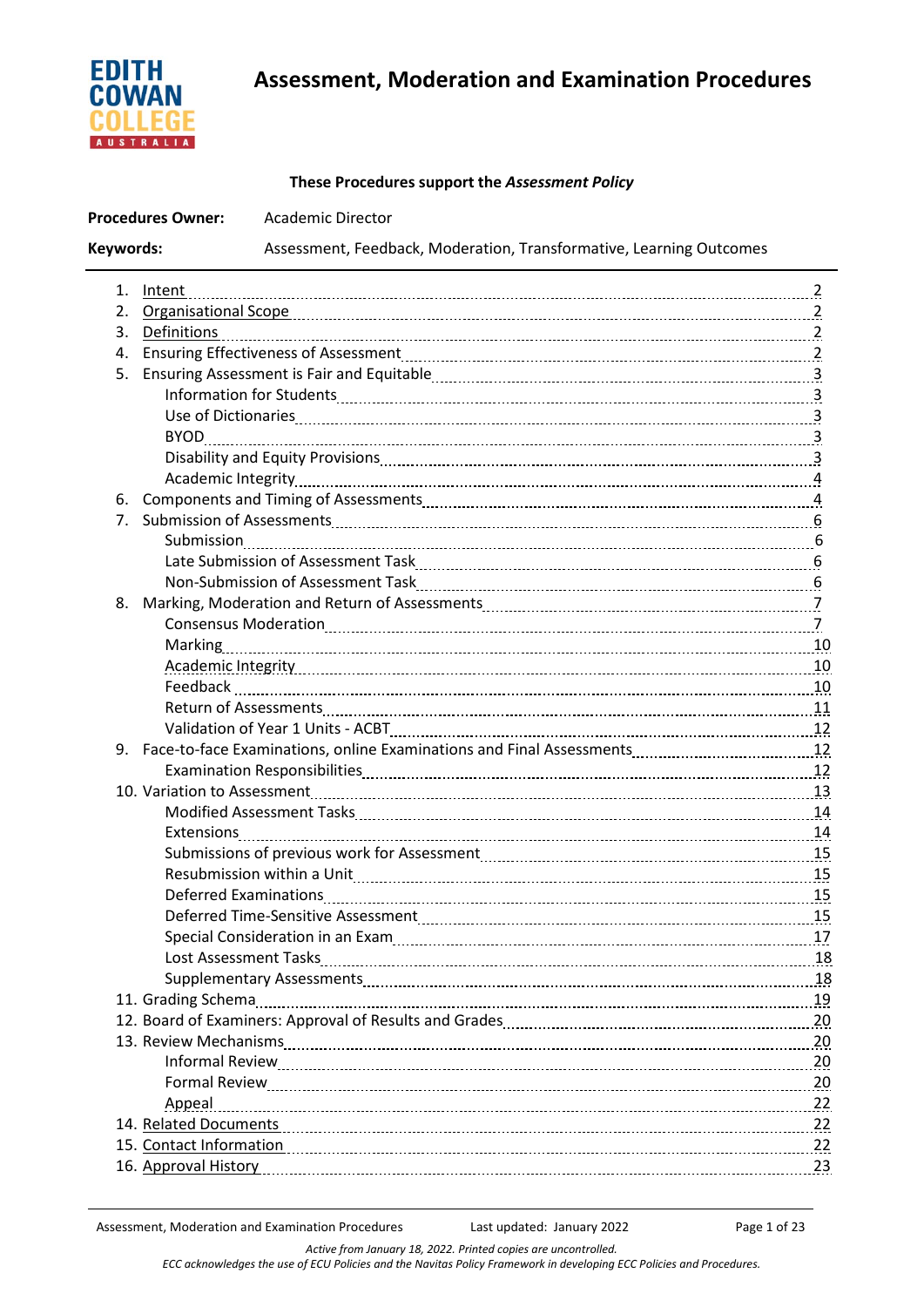

# **Assessment, Moderation and Examination Procedures**

# **These Procedures support the** *Assessment Policy*

| <b>Procedures Owner:</b> |                | <b>Academic Director</b>                                                                                                                                                                                                       |  |  |
|--------------------------|----------------|--------------------------------------------------------------------------------------------------------------------------------------------------------------------------------------------------------------------------------|--|--|
| Keywords:                |                | Assessment, Feedback, Moderation, Transformative, Learning Outcomes                                                                                                                                                            |  |  |
| 1.                       | Intent         |                                                                                                                                                                                                                                |  |  |
|                          |                |                                                                                                                                                                                                                                |  |  |
|                          | 3. Definitions |                                                                                                                                                                                                                                |  |  |
| 4.                       |                |                                                                                                                                                                                                                                |  |  |
| 5.                       |                |                                                                                                                                                                                                                                |  |  |
|                          |                |                                                                                                                                                                                                                                |  |  |
|                          |                |                                                                                                                                                                                                                                |  |  |
|                          |                |                                                                                                                                                                                                                                |  |  |
|                          |                |                                                                                                                                                                                                                                |  |  |
|                          |                |                                                                                                                                                                                                                                |  |  |
| 6.                       |                |                                                                                                                                                                                                                                |  |  |
|                          |                |                                                                                                                                                                                                                                |  |  |
|                          |                |                                                                                                                                                                                                                                |  |  |
|                          |                |                                                                                                                                                                                                                                |  |  |
|                          |                |                                                                                                                                                                                                                                |  |  |
|                          |                |                                                                                                                                                                                                                                |  |  |
|                          |                |                                                                                                                                                                                                                                |  |  |
|                          |                |                                                                                                                                                                                                                                |  |  |
|                          |                | Academic Integrity 10                                                                                                                                                                                                          |  |  |
|                          |                |                                                                                                                                                                                                                                |  |  |
|                          |                |                                                                                                                                                                                                                                |  |  |
|                          |                |                                                                                                                                                                                                                                |  |  |
|                          |                |                                                                                                                                                                                                                                |  |  |
|                          |                |                                                                                                                                                                                                                                |  |  |
|                          |                |                                                                                                                                                                                                                                |  |  |
|                          |                | Modified Assessment Tasks [11] Modified: Assessment Tasks [14] Modified Assessment Tasks [14] Modified Assessment Tasks [14] Modified: Assessment Tasks [14] Modified: Assessment Tasks [14] Modified: Assessment Tasks [14] M |  |  |
|                          |                |                                                                                                                                                                                                                                |  |  |
|                          |                |                                                                                                                                                                                                                                |  |  |
|                          |                | Resubmission within a Unit [11] processes and the Unit of the Unit of the Unit of the Unit of the Unit of the U                                                                                                                |  |  |
|                          |                |                                                                                                                                                                                                                                |  |  |
|                          |                |                                                                                                                                                                                                                                |  |  |
|                          |                |                                                                                                                                                                                                                                |  |  |
|                          |                |                                                                                                                                                                                                                                |  |  |
|                          |                |                                                                                                                                                                                                                                |  |  |
|                          |                |                                                                                                                                                                                                                                |  |  |
|                          |                |                                                                                                                                                                                                                                |  |  |
|                          |                |                                                                                                                                                                                                                                |  |  |
|                          |                |                                                                                                                                                                                                                                |  |  |
|                          |                |                                                                                                                                                                                                                                |  |  |
|                          | Appeal         |                                                                                                                                                                                                                                |  |  |
|                          |                |                                                                                                                                                                                                                                |  |  |
|                          |                | 15. Contact Information 22                                                                                                                                                                                                     |  |  |
|                          |                | 16. Approval History 23                                                                                                                                                                                                        |  |  |
|                          |                |                                                                                                                                                                                                                                |  |  |

*Active from January 18, 2022. Printed copies are uncontrolled. ECC acknowledges the use of ECU Policies and the Navitas Policy Framework in developing ECC Policies and Procedures.*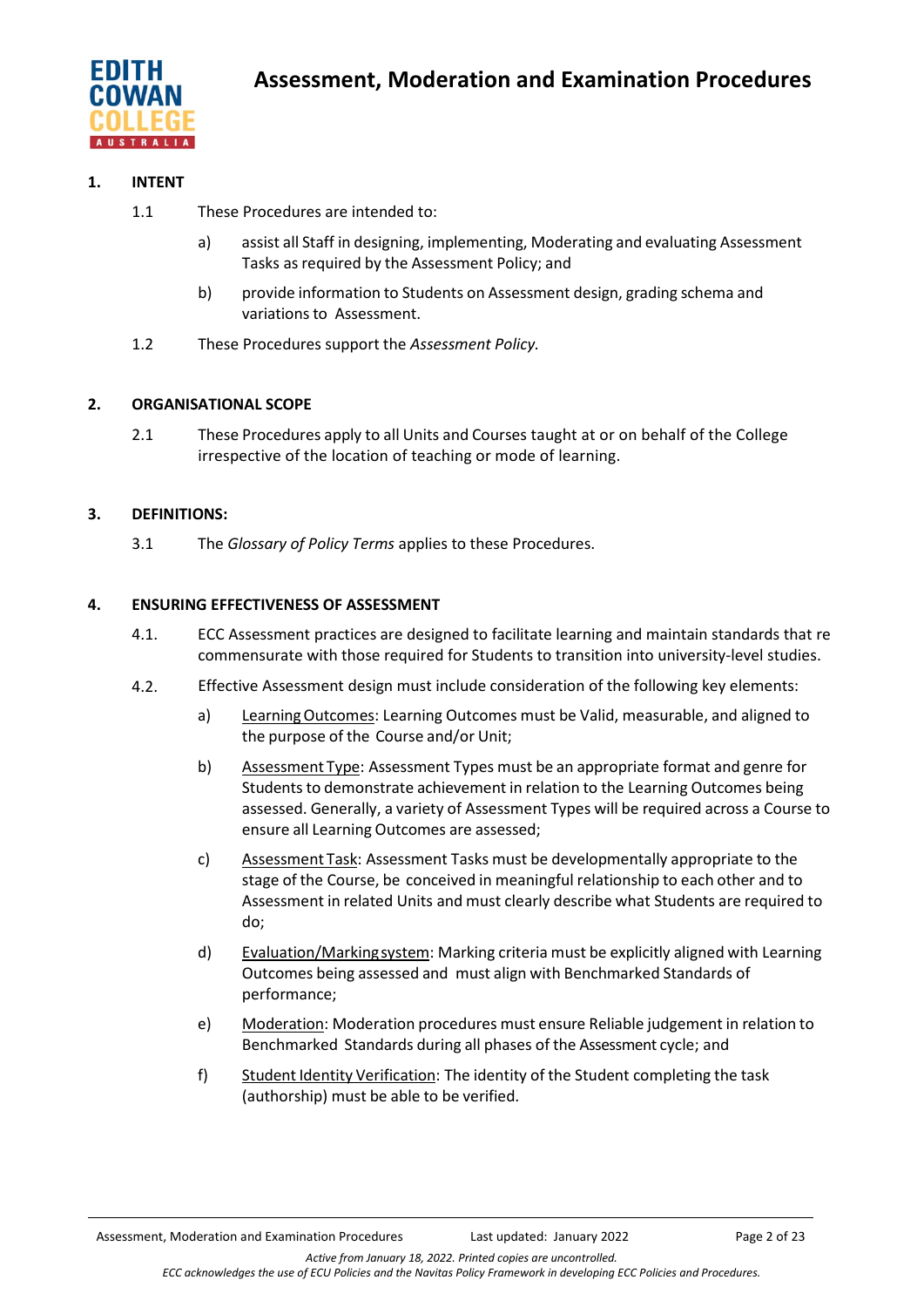

# **1. INTENT**

- 1.1 These Procedures are intended to:
	- a) assist all Staff in designing, implementing, Moderating and evaluating Assessment Tasks as required by the Assessment Policy; and
	- b) provide information to Students on Assessment design, grading schema and variations to Assessment.
- 1.2 These Procedures support the *Assessment Policy.*

## **2. ORGANISATIONAL SCOPE**

2.1 These Procedures apply to all Units and Courses taught at or on behalf of the College irrespective of the location of teaching or mode of learning.

## **3. DEFINITIONS:**

3.1 The *Glossary of Policy Terms* applies to these Procedures.

## **4. ENSURING EFFECTIVENESS OF ASSESSMENT**

- 4.1. ECC Assessment practices are designed to facilitate learning and maintain standards that re commensurate with those required for Students to transition into university-level studies.
- 4.2. Effective Assessment design must include consideration of the following key elements:
	- a) LearningOutcomes: Learning Outcomes must be Valid, measurable, and aligned to the purpose of the Course and/or Unit;
	- b) Assessment Type: Assessment Types must be an appropriate format and genre for Students to demonstrate achievement in relation to the Learning Outcomes being assessed. Generally, a variety of Assessment Types will be required across a Course to ensure all Learning Outcomes are assessed;
	- c) Assessment Task: Assessment Tasks must be developmentally appropriate to the stage of the Course, be conceived in meaningful relationship to each other and to Assessment in related Units and must clearly describe what Students are required to do;
	- d) Evaluation/Markingsystem: Marking criteria must be explicitly aligned with Learning Outcomes being assessed and must align with Benchmarked Standards of performance;
	- e) Moderation: Moderation procedures must ensure Reliable judgement in relation to Benchmarked Standards during all phases of the Assessment cycle; and
	- f) Student Identity Verification: The identity of the Student completing the task (authorship) must be able to be verified.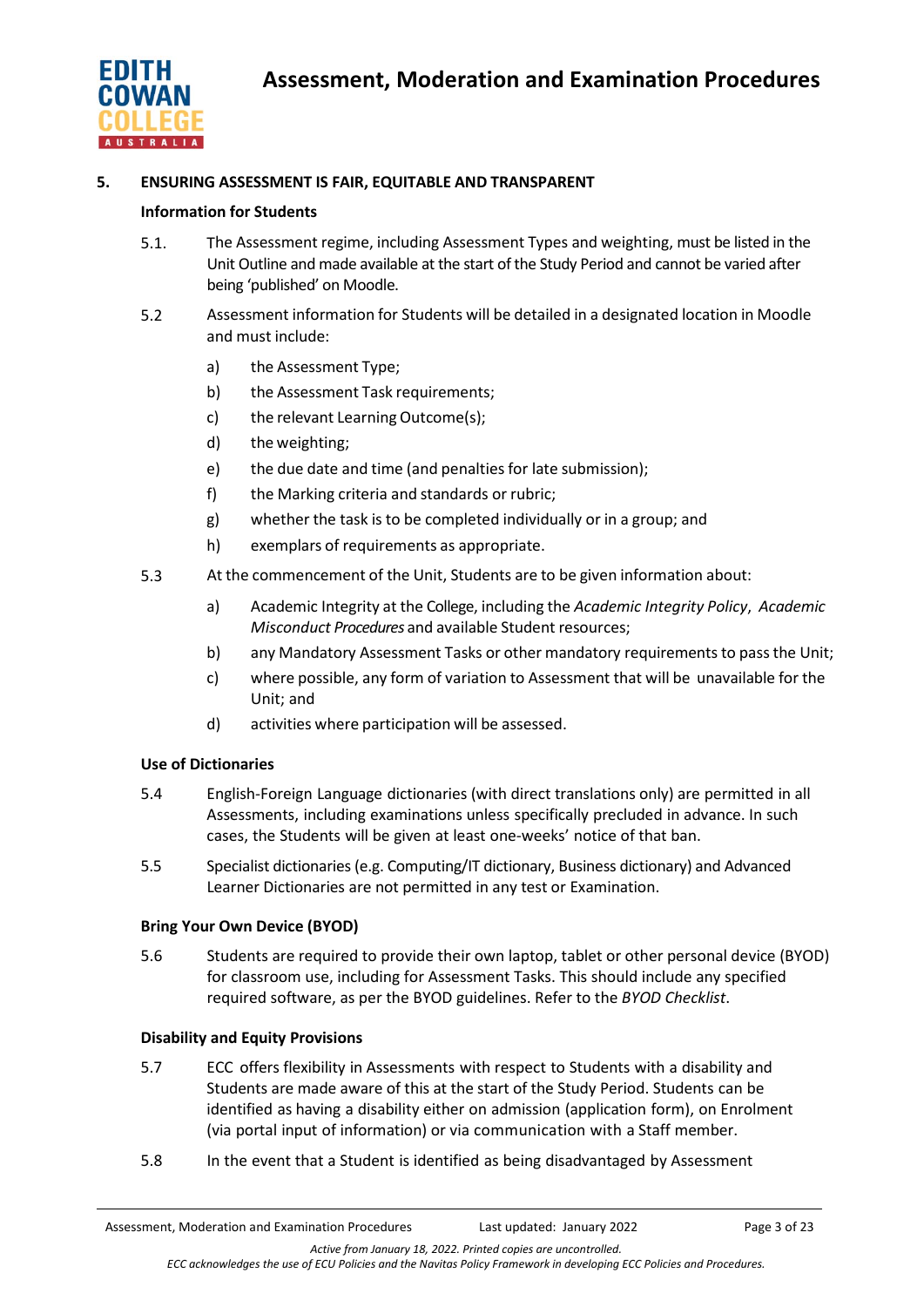

## **5. ENSURING ASSESSMENT IS FAIR, EQUITABLE AND TRANSPARENT**

## **Information for Students**

- 5.1. The Assessment regime, including Assessment Types and weighting, must be listed in the Unit Outline and made available at the start of the Study Period and cannot be varied after being 'published' on Moodle.
- 5.2 Assessment information for Students will be detailed in a designated location in Moodle and must include:
	- a) the Assessment Type;
	- b) the Assessment Task requirements;
	- c) the relevant Learning Outcome(s);
	- d) the weighting;
	- e) the due date and time (and penalties for late submission);
	- f) the Marking criteria and standards or rubric;
	- g) whether the task is to be completed individually or in a group; and
	- h) exemplars of requirements as appropriate.
- 5.3 At the commencement of the Unit, Students are to be given information about:
	- a) Academic Integrity at the College, including the *Academic Integrity Policy*, *Academic Misconduct Procedures* and available Student resources;
	- b) any Mandatory Assessment Tasks or other mandatory requirements to passthe Unit;
	- c) where possible, any form of variation to Assessment that will be unavailable for the Unit; and
	- d) activities where participation will be assessed.

## **Use of Dictionaries**

- 5.4 English-Foreign Language dictionaries (with direct translations only) are permitted in all Assessments, including examinations unless specifically precluded in advance. In such cases, the Students will be given at least one-weeks' notice of that ban.
- 5.5 Specialist dictionaries(e.g. Computing/IT dictionary, Business dictionary) and Advanced Learner Dictionaries are not permitted in any test or Examination.

## **Bring Your Own Device (BYOD)**

5.6 Students are required to provide their own laptop, tablet or other personal device (BYOD) for classroom use, including for Assessment Tasks. This should include any specified required software, as per the BYOD guidelines. Refer to the *BYOD Checklist*.

## **Disability and Equity Provisions**

- 5.7 ECC offers flexibility in Assessments with respect to Students with a disability and Students are made aware of this at the start of the Study Period. Students can be identified as having a disability either on admission (application form), on Enrolment (via portal input of information) or via communication with a Staff member.
- 5.8 In the event that a Student is identified as being disadvantaged by Assessment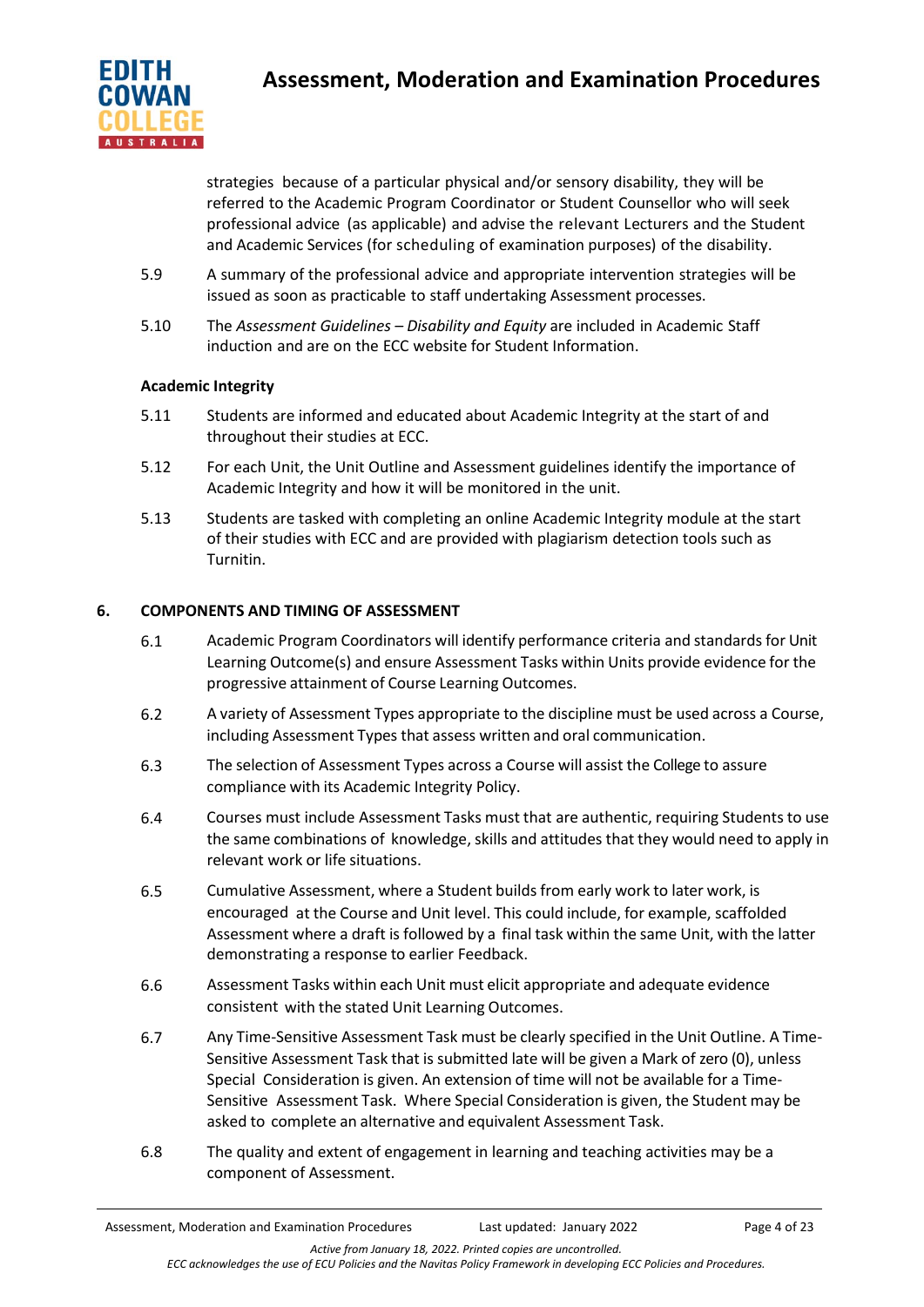

strategies because of a particular physical and/or sensory disability, they will be referred to the Academic Program Coordinator or Student Counsellor who will seek professional advice (as applicable) and advise the relevant Lecturers and the Student and Academic Services (for scheduling of examination purposes) of the disability.

- 5.9 A summary of the professional advice and appropriate intervention strategies will be issued as soon as practicable to staff undertaking Assessment processes.
- 5.10 The *Assessment Guidelines – Disability and Equity* are included in Academic Staff induction and are on the ECC website for Student Information.

# **Academic Integrity**

- 5.11 Students are informed and educated about Academic Integrity at the start of and throughout their studies at ECC.
- 5.12 For each Unit, the Unit Outline and Assessment guidelines identify the importance of Academic Integrity and how it will be monitored in the unit.
- 5.13 Students are tasked with completing an online Academic Integrity module at the start of their studies with ECC and are provided with plagiarism detection tools such as Turnitin.

# **6. COMPONENTS AND TIMING OF ASSESSMENT**

- 6.1 Academic Program Coordinators will identify performance criteria and standards for Unit Learning Outcome(s) and ensure Assessment Tasks within Units provide evidence for the progressive attainment of Course Learning Outcomes.
- 6.2 A variety of Assessment Types appropriate to the discipline must be used across a Course, including Assessment Types that assess written and oral communication.
- 6.3 The selection of Assessment Types across a Course will assist the College to assure compliance with its Academic Integrity Policy.
- 6.4 Courses must include Assessment Tasks must that are authentic, requiring Students to use the same combinations of knowledge, skills and attitudes that they would need to apply in relevant work or life situations.
- 6.5 Cumulative Assessment, where a Student builds from early work to later work, is encouraged at the Course and Unit level. This could include, for example, scaffolded Assessment where a draft is followed by a final task within the same Unit, with the latter demonstrating a response to earlier Feedback.
- 6.6 Assessment Tasks within each Unit must elicit appropriate and adequate evidence consistent with the stated Unit Learning Outcomes.
- 6.7 Any Time-Sensitive Assessment Task must be clearly specified in the Unit Outline. A Time-Sensitive Assessment Task that is submitted late will be given a Mark of zero (0), unless Special Consideration is given. An extension of time will not be available for a Time-Sensitive Assessment Task. Where Special Consideration is given, the Student may be asked to complete an alternative and equivalent Assessment Task.
- 6.8 The quality and extent of engagement in learning and teaching activities may be a component of Assessment.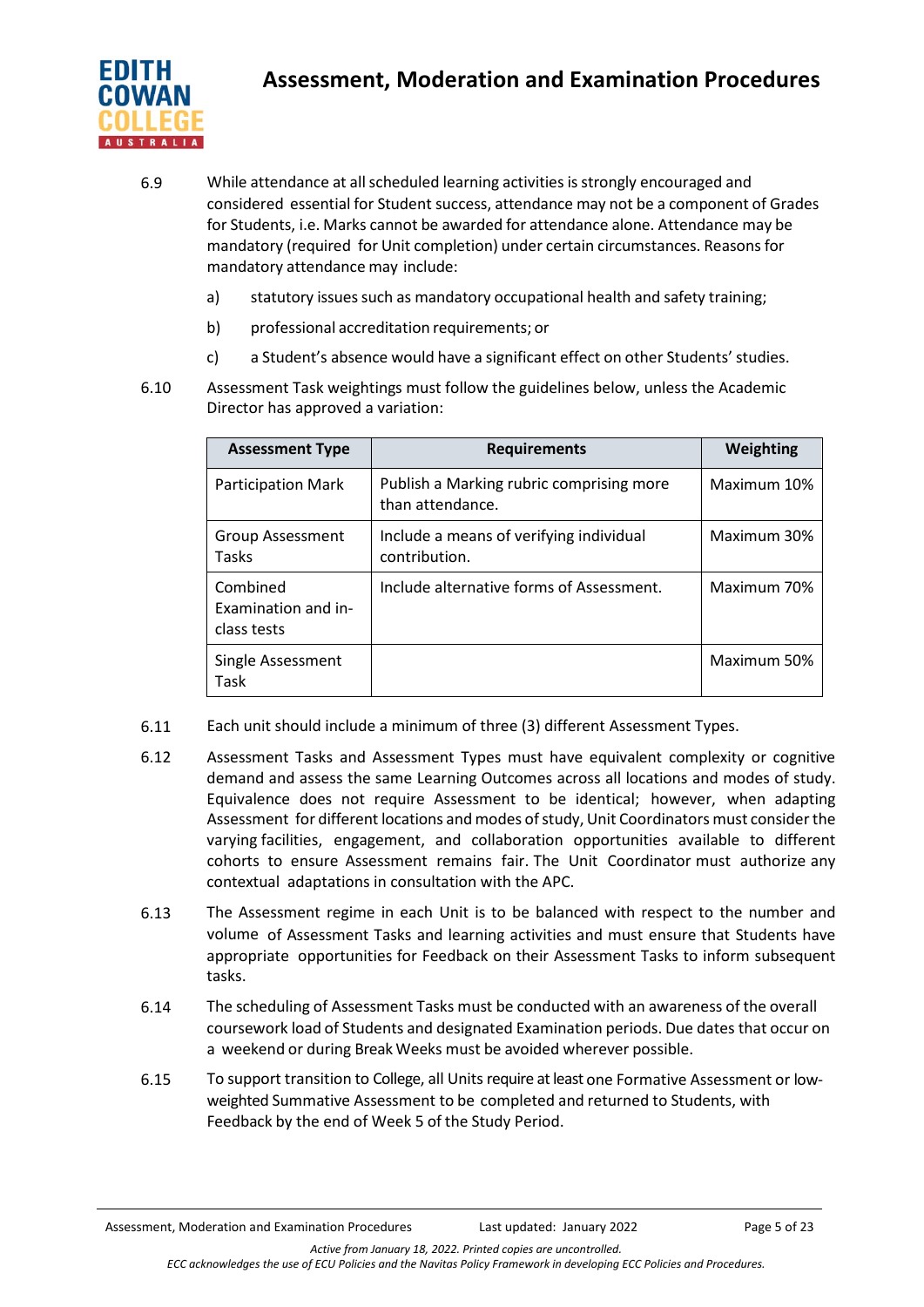

- 6.9 While attendance at allscheduled learning activities is strongly encouraged and considered essential for Student success, attendance may not be a component of Grades for Students, i.e. Marks cannot be awarded for attendance alone. Attendance may be mandatory (required for Unit completion) under certain circumstances. Reasonsfor mandatory attendance may include:
	- a) statutory issues such as mandatory occupational health and safety training;
	- b) professional accreditation requirements; or
	- c) a Student's absence would have a significant effect on other Students' studies.
- 6.10 Assessment Task weightings must follow the guidelines below, unless the Academic Director has approved a variation:

| <b>Assessment Type</b>                         | <b>Requirements</b>                                          | Weighting   |
|------------------------------------------------|--------------------------------------------------------------|-------------|
| <b>Participation Mark</b>                      | Publish a Marking rubric comprising more<br>than attendance. | Maximum 10% |
| Group Assessment<br>Tasks                      | Include a means of verifying individual<br>contribution.     | Maximum 30% |
| Combined<br>Examination and in-<br>class tests | Include alternative forms of Assessment.                     | Maximum 70% |
| Single Assessment<br>Task                      |                                                              | Maximum 50% |

- 6.11 Each unit should include a minimum of three (3) different Assessment Types.
- 6.12 Assessment Tasks and Assessment Types must have equivalent complexity or cognitive demand and assess the same Learning Outcomes across all locations and modes of study. Equivalence does not require Assessment to be identical; however, when adapting Assessment for different locations and modes of study, Unit Coordinators must consider the varying facilities, engagement, and collaboration opportunities available to different cohorts to ensure Assessment remains fair. The Unit Coordinator must authorize any contextual adaptations in consultation with the APC.
- 6.13 The Assessment regime in each Unit is to be balanced with respect to the number and volume of Assessment Tasks and learning activities and must ensure that Students have appropriate opportunities for Feedback on their Assessment Tasks to inform subsequent tasks.
- 6.14 The scheduling of Assessment Tasks must be conducted with an awareness of the overall coursework load of Students and designated Examination periods. Due dates that occur on a weekend or during Break Weeks must be avoided wherever possible.
- 6.15 To support transition to College, all Units require at least one Formative Assessment or lowweighted Summative Assessment to be completed and returned to Students, with Feedback by the end of Week 5 of the Study Period.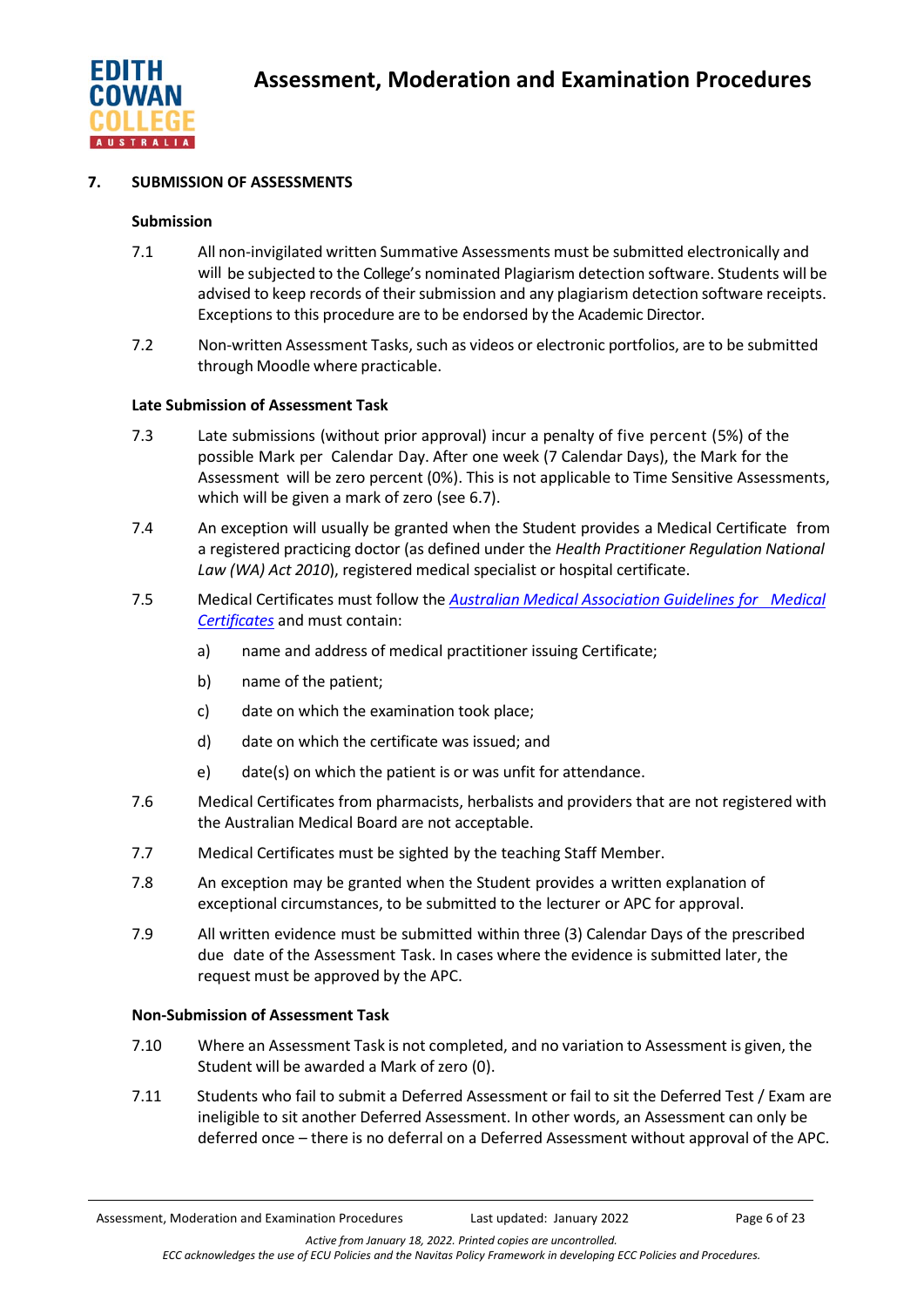

## **7. SUBMISSION OF ASSESSMENTS**

#### **Submission**

- 7.1 All non-invigilated written Summative Assessments must be submitted electronically and will be subjected to the College's nominated Plagiarism detection software. Students will be advised to keep records of their submission and any plagiarism detection software receipts. Exceptions to this procedure are to be endorsed by the Academic Director.
- 7.2 Non-written Assessment Tasks, such as videos or electronic portfolios, are to be submitted through Moodle where practicable.

#### **Late Submission of Assessment Task**

- 7.3 Late submissions (without prior approval) incur a penalty of five percent (5%) of the possible Mark per Calendar Day. After one week (7 Calendar Days), the Mark for the Assessment will be zero percent (0%). This is not applicable to Time Sensitive Assessments, which will be given a mark of zero (see 6.7).
- 7.4 An exception will usually be granted when the Student provides a Medical Certificate from a registered practicing doctor (as defined under the *Health Practitioner Regulation National Law (WA) Act 2010*), registered medical specialist or hospital certificate.
- 7.5 Medical Certificates must follow the *[Australian Medical Association Guidelines](https://www.ama.com.au/position-statement/ama-guidelines-medical-certificates-2011-revised-2016) for Medical [Certificates](https://www.ama.com.au/position-statement/ama-guidelines-medical-certificates-2011-revised-2016)* and must contain:
	- a) name and address of medical practitioner issuing Certificate;
	- b) name of the patient;
	- c) date on which the examination took place;
	- d) date on which the certificate was issued; and
	- e) date(s) on which the patient is or was unfit for attendance.
- 7.6 Medical Certificates from pharmacists, herbalists and providers that are not registered with the Australian Medical Board are not acceptable.
- 7.7 Medical Certificates must be sighted by the teaching Staff Member.
- 7.8 An exception may be granted when the Student provides a written explanation of exceptional circumstances, to be submitted to the lecturer or APC for approval.
- 7.9 All written evidence must be submitted within three (3) Calendar Days of the prescribed due date of the Assessment Task. In cases where the evidence is submitted later, the request must be approved by the APC.

## **Non-Submission of Assessment Task**

- 7.10 Where an Assessment Task is not completed, and no variation to Assessment is given, the Student will be awarded a Mark of zero (0).
- 7.11 Students who fail to submit a Deferred Assessment or fail to sit the Deferred Test / Exam are ineligible to sit another Deferred Assessment. In other words, an Assessment can only be deferred once – there is no deferral on a Deferred Assessment without approval of the APC.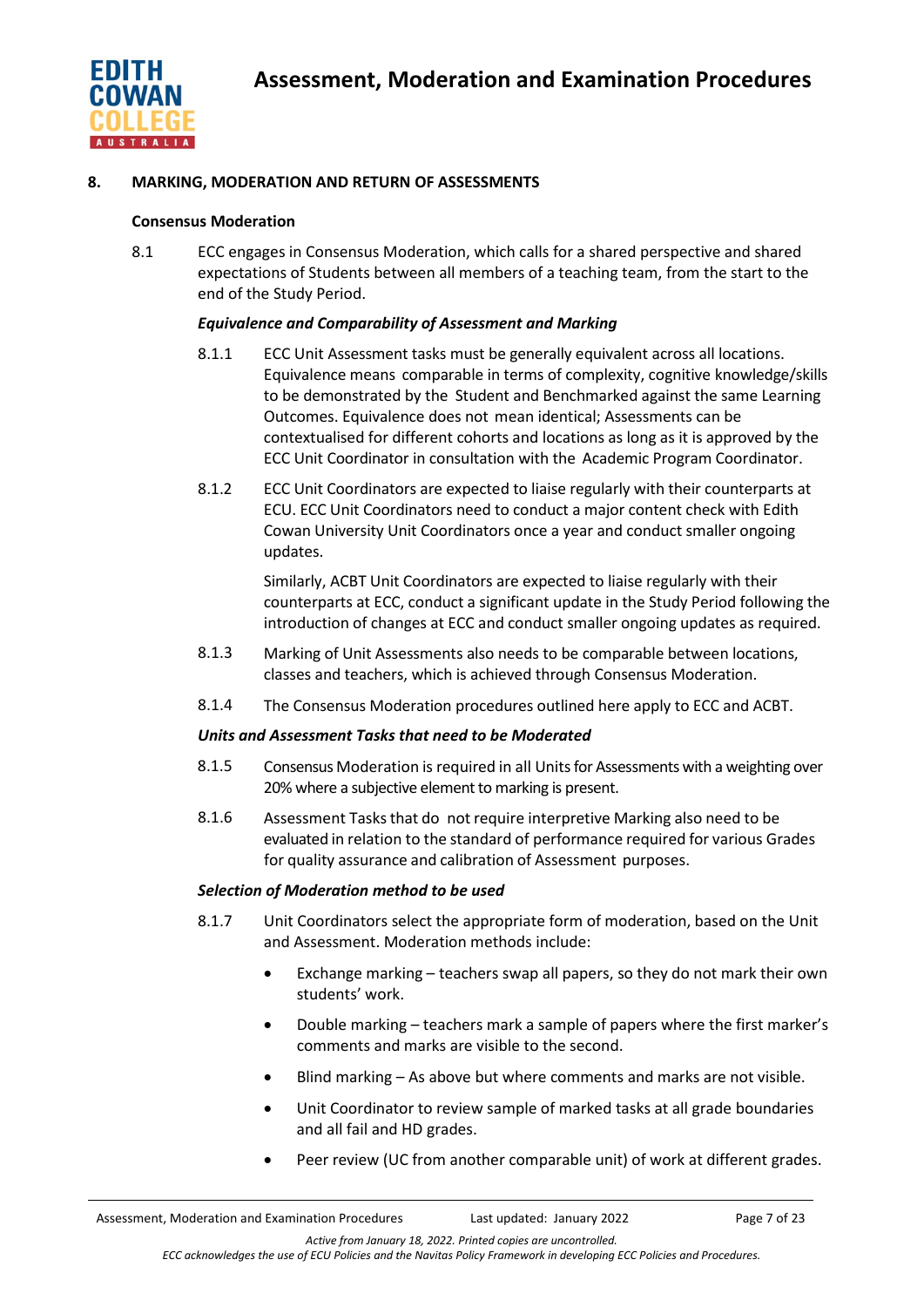

## **8. MARKING, MODERATION AND RETURN OF ASSESSMENTS**

#### **Consensus Moderation**

8.1 ECC engages in Consensus Moderation, which calls for a shared perspective and shared expectations of Students between all members of a teaching team, from the start to the end of the Study Period.

## *Equivalence and Comparability of Assessment and Marking*

- 8.1.1 ECC Unit Assessment tasks must be generally equivalent across all locations. Equivalence means comparable in terms of complexity, cognitive knowledge/skills to be demonstrated by the Student and Benchmarked against the same Learning Outcomes. Equivalence does not mean identical; Assessments can be contextualised for different cohorts and locations as long as it is approved by the ECC Unit Coordinator in consultation with the Academic Program Coordinator.
- 8.1.2 ECC Unit Coordinators are expected to liaise regularly with their counterparts at ECU. ECC Unit Coordinators need to conduct a major content check with Edith Cowan University Unit Coordinators once a year and conduct smaller ongoing updates.

Similarly, ACBT Unit Coordinators are expected to liaise regularly with their counterparts at ECC, conduct a significant update in the Study Period following the introduction of changes at ECC and conduct smaller ongoing updates as required.

- 8.1.3 Marking of Unit Assessments also needs to be comparable between locations, classes and teachers, which is achieved through Consensus Moderation.
- 8.1.4 The Consensus Moderation procedures outlined here apply to ECC and ACBT.

#### *Units and Assessment Tasks that need to be Moderated*

- 8.1.5 Consensus Moderation is required in all Unitsfor Assessments with a weighting over 20% where a subjective element to marking is present.
- 8.1.6 Assessment Tasksthat do not require interpretive Marking also need to be evaluated in relation to the standard of performance required for various Grades for quality assurance and calibration of Assessment purposes.

## *Selection of Moderation method to be used*

- 8.1.7 Unit Coordinators select the appropriate form of moderation, based on the Unit and Assessment. Moderation methods include:
	- Exchange marking teachers swap all papers, so they do not mark their own students' work.
	- Double marking teachers mark a sample of papers where the first marker's comments and marks are visible to the second.
	- Blind marking As above but where comments and marks are not visible.
	- Unit Coordinator to review sample of marked tasks at all grade boundaries and all fail and HD grades.
	- Peer review (UC from another comparable unit) of work at different grades.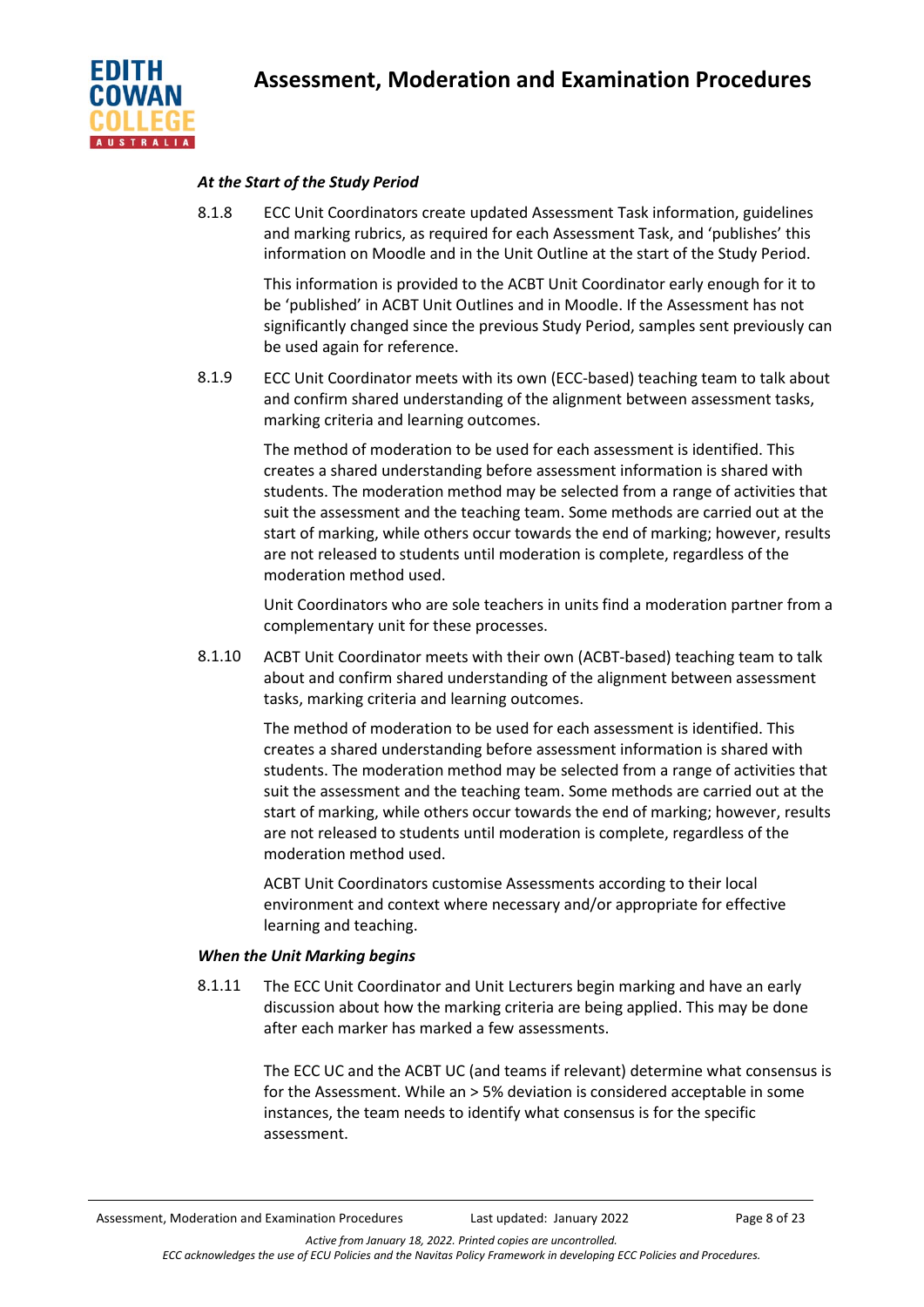

## *At the Start of the Study Period*

8.1.8 ECC Unit Coordinators create updated Assessment Task information, guidelines and marking rubrics, as required for each Assessment Task, and 'publishes' this information on Moodle and in the Unit Outline at the start of the Study Period.

> This information is provided to the ACBT Unit Coordinator early enough for it to be 'published' in ACBT Unit Outlines and in Moodle. If the Assessment has not significantly changed since the previous Study Period, samples sent previously can be used again for reference.

8.1.9 ECC Unit Coordinator meets with its own (ECC-based) teaching team to talk about and confirm shared understanding of the alignment between assessment tasks, marking criteria and learning outcomes.

> The method of moderation to be used for each assessment is identified. This creates a shared understanding before assessment information is shared with students. The moderation method may be selected from a range of activities that suit the assessment and the teaching team. Some methods are carried out at the start of marking, while others occur towards the end of marking; however, results are not released to students until moderation is complete, regardless of the moderation method used.

> Unit Coordinators who are sole teachers in units find a moderation partner from a complementary unit for these processes.

8.1.10 ACBT Unit Coordinator meets with their own (ACBT-based) teaching team to talk about and confirm shared understanding of the alignment between assessment tasks, marking criteria and learning outcomes.

> The method of moderation to be used for each assessment is identified. This creates a shared understanding before assessment information is shared with students. The moderation method may be selected from a range of activities that suit the assessment and the teaching team. Some methods are carried out at the start of marking, while others occur towards the end of marking; however, results are not released to students until moderation is complete, regardless of the moderation method used.

ACBT Unit Coordinators customise Assessments according to their local environment and context where necessary and/or appropriate for effective learning and teaching.

## *When the Unit Marking begins*

8.1.11 The ECC Unit Coordinator and Unit Lecturers begin marking and have an early discussion about how the marking criteria are being applied. This may be done after each marker has marked a few assessments.

> The ECC UC and the ACBT UC (and teams if relevant) determine what consensus is for the Assessment. While an > 5% deviation is considered acceptable in some instances, the team needs to identify what consensus is for the specific assessment.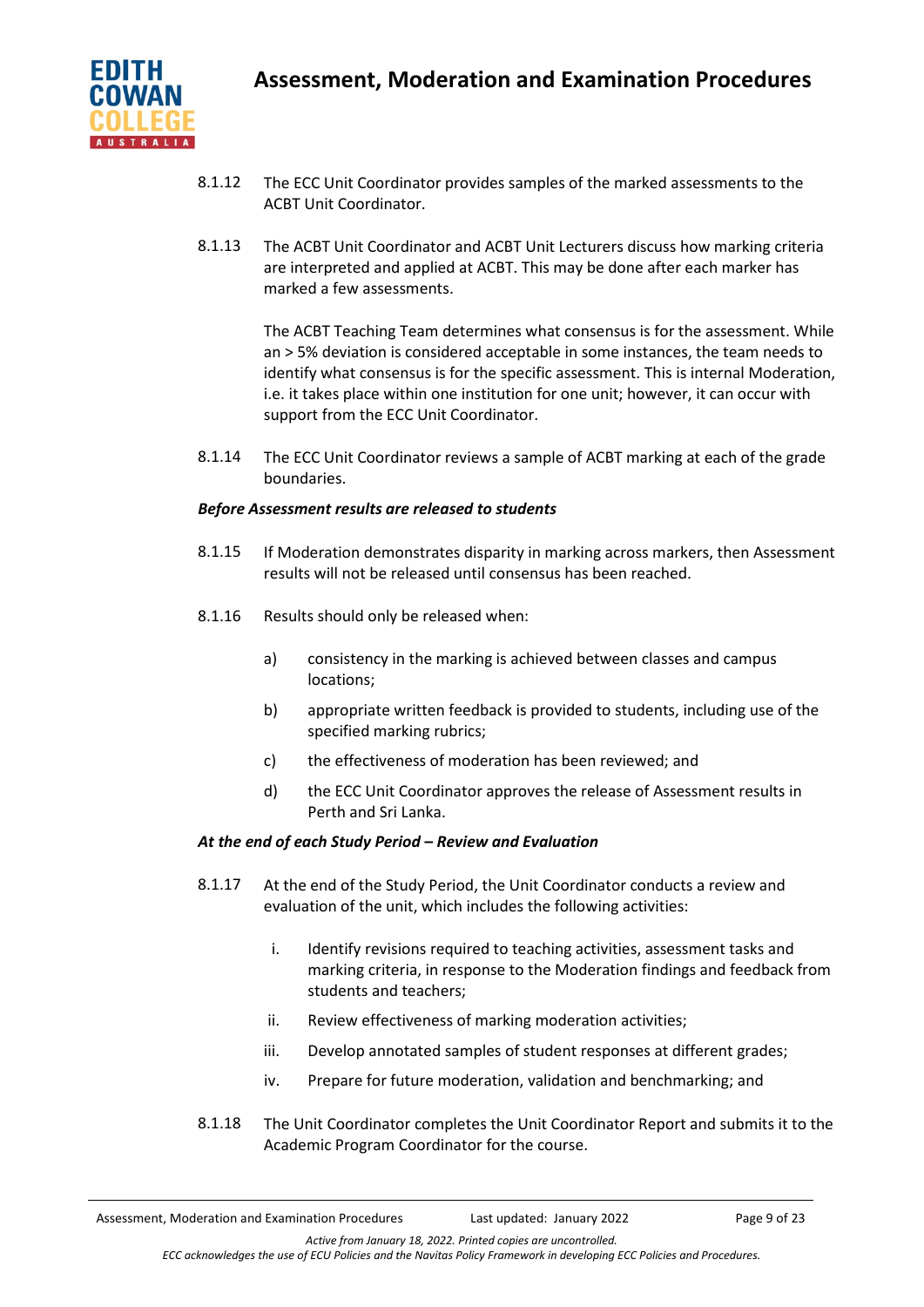

- 8.1.12 The ECC Unit Coordinator provides samples of the marked assessments to the ACBT Unit Coordinator.
- 8.1.13 The ACBT Unit Coordinator and ACBT Unit Lecturers discuss how marking criteria are interpreted and applied at ACBT. This may be done after each marker has marked a few assessments.

The ACBT Teaching Team determines what consensus is for the assessment. While an > 5% deviation is considered acceptable in some instances, the team needs to identify what consensus is for the specific assessment. This is internal Moderation, i.e. it takes place within one institution for one unit; however, it can occur with support from the ECC Unit Coordinator.

8.1.14 The ECC Unit Coordinator reviews a sample of ACBT marking at each of the grade boundaries.

## *Before Assessment results are released to students*

- 8.1.15 If Moderation demonstrates disparity in marking across markers, then Assessment results will not be released until consensus has been reached.
- 8.1.16 Results should only be released when:
	- a) consistency in the marking is achieved between classes and campus locations;
	- b) appropriate written feedback is provided to students, including use of the specified marking rubrics;
	- c) the effectiveness of moderation has been reviewed; and
	- d) the ECC Unit Coordinator approves the release of Assessment results in Perth and Sri Lanka.

## *At the end of each Study Period – Review and Evaluation*

- 8.1.17 At the end of the Study Period, the Unit Coordinator conducts a review and evaluation of the unit, which includes the following activities:
	- i. Identify revisions required to teaching activities, assessment tasks and marking criteria, in response to the Moderation findings and feedback from students and teachers;
	- ii. Review effectiveness of marking moderation activities;
	- iii. Develop annotated samples of student responses at different grades;
	- iv. Prepare for future moderation, validation and benchmarking; and
- 8.1.18 The Unit Coordinator completes the Unit Coordinator Report and submits it to the Academic Program Coordinator for the course.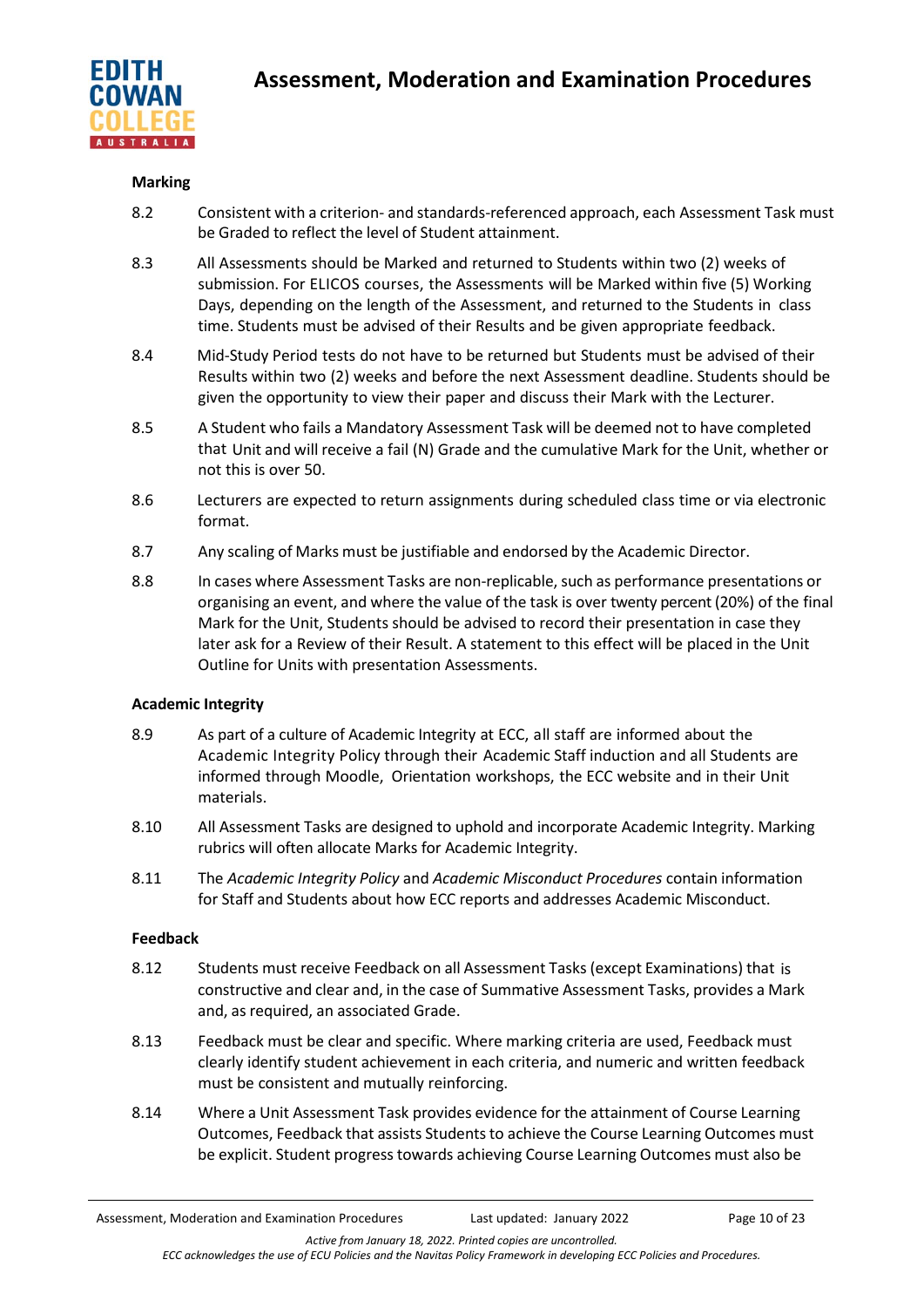

## **Marking**

- 8.2 Consistent with a criterion- and standards-referenced approach, each Assessment Task must be Graded to reflect the level of Student attainment.
- 8.3 All Assessments should be Marked and returned to Students within two (2) weeks of submission. For ELICOS courses, the Assessments will be Marked within five (5) Working Days, depending on the length of the Assessment, and returned to the Students in class time. Students must be advised of their Results and be given appropriate feedback.
- 8.4 Mid-Study Period tests do not have to be returned but Students must be advised of their Results within two (2) weeks and before the next Assessment deadline. Students should be given the opportunity to view their paper and discuss their Mark with the Lecturer.
- 8.5 A Student who fails a Mandatory Assessment Task will be deemed not to have completed that Unit and will receive a fail (N) Grade and the cumulative Mark for the Unit, whether or not this is over 50.
- 8.6 Lecturers are expected to return assignments during scheduled class time or via electronic format.
- 8.7 Any scaling of Marks must be justifiable and endorsed by the Academic Director.
- 8.8 In cases where Assessment Tasks are non-replicable, such as performance presentations or organising an event, and where the value of the task is over twenty percent (20%) of the final Mark for the Unit, Students should be advised to record their presentation in case they later ask for a Review of their Result. A statement to this effect will be placed in the Unit Outline for Units with presentation Assessments.

## **Academic Integrity**

- 8.9 As part of a culture of Academic Integrity at ECC, all staff are informed about the Academic Integrity Policy through their Academic Staff induction and all Students are informed through Moodle, Orientation workshops, the ECC website and in their Unit materials.
- 8.10 All Assessment Tasks are designed to uphold and incorporate Academic Integrity. Marking rubrics will often allocate Marks for Academic Integrity.
- 8.11 The *Academic Integrity Policy* and *Academic Misconduct Procedures* contain information for Staff and Students about how ECC reports and addresses Academic Misconduct.

## **Feedback**

- 8.12 Students must receive Feedback on all Assessment Tasks (except Examinations) that is constructive and clear and, in the case of Summative Assessment Tasks, provides a Mark and, as required, an associated Grade.
- 8.13 Feedback must be clear and specific. Where marking criteria are used, Feedback must clearly identify student achievement in each criteria, and numeric and written feedback must be consistent and mutually reinforcing.
- 8.14 Where a Unit Assessment Task provides evidence for the attainment of Course Learning Outcomes, Feedback that assists Studentsto achieve the Course Learning Outcomes must be explicit. Student progress towards achieving Course Learning Outcomes must also be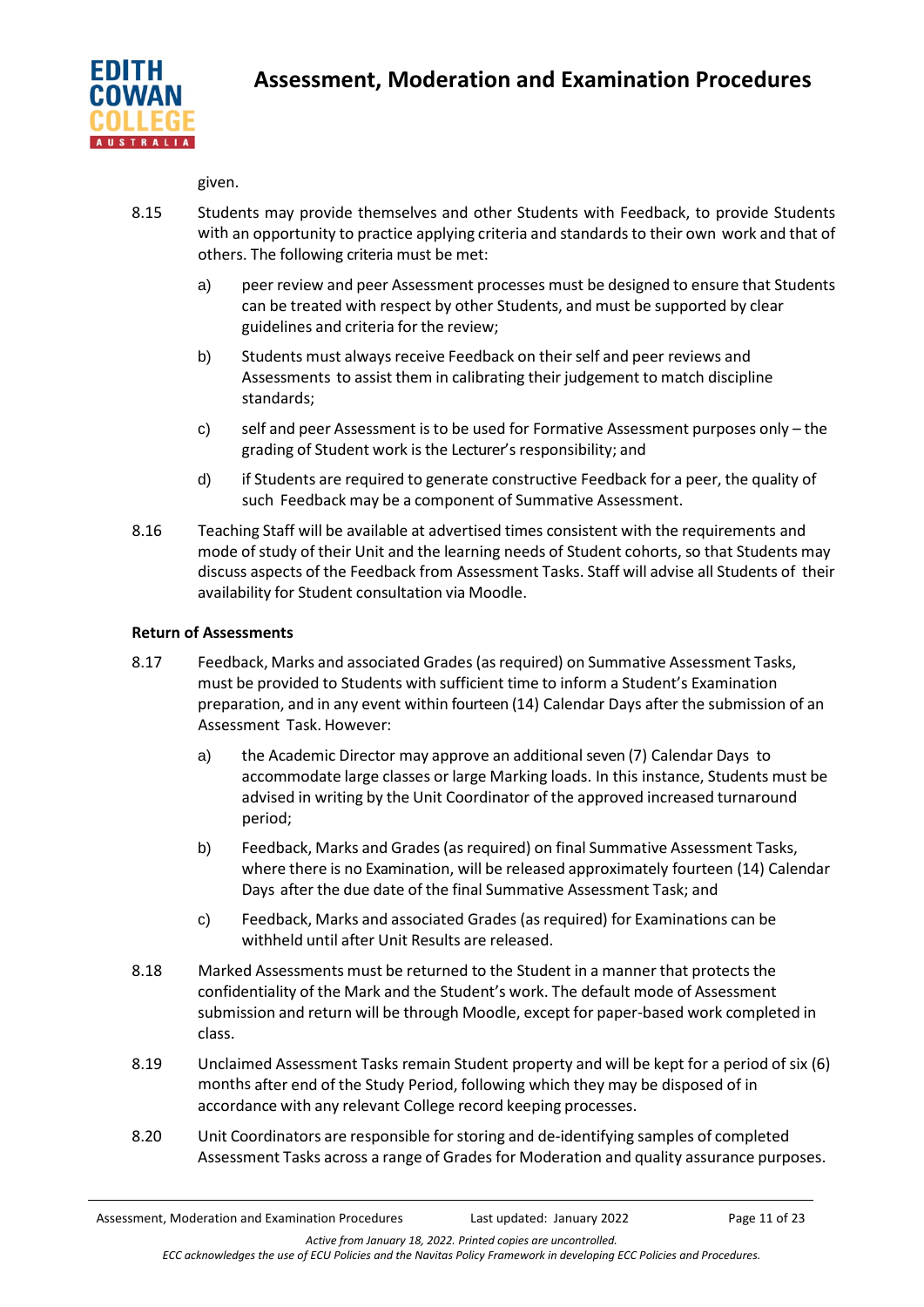

given.

- 8.15 Students may provide themselves and other Students with Feedback, to provide Students with an opportunity to practice applying criteria and standards to their own work and that of others. The following criteria must be met:
	- a) peer review and peer Assessment processes must be designed to ensure that Students can be treated with respect by other Students, and must be supported by clear guidelines and criteria for the review;
	- b) Students must always receive Feedback on their self and peer reviews and Assessments to assist them in calibrating their judgement to match discipline standards;
	- c) self and peer Assessment is to be used for Formative Assessment purposes only the grading of Student work is the Lecturer's responsibility; and
	- d) if Students are required to generate constructive Feedback for a peer, the quality of such Feedback may be a component of Summative Assessment.
- 8.16 Teaching Staff will be available at advertised times consistent with the requirements and mode of study of their Unit and the learning needs of Student cohorts, so that Students may discuss aspects of the Feedback from Assessment Tasks. Staff will advise all Students of their availability for Student consultation via Moodle.

# **Return of Assessments**

- 8.17 Feedback, Marks and associated Grades (asrequired) on Summative Assessment Tasks, must be provided to Students with sufficient time to inform a Student's Examination preparation, and in any event within fourteen (14) Calendar Days after the submission of an Assessment Task. However:
	- a) the Academic Director may approve an additional seven (7) Calendar Days to accommodate large classes or large Marking loads. In this instance, Students must be advised in writing by the Unit Coordinator of the approved increased turnaround period;
	- b) Feedback, Marks and Grades (as required) on final Summative Assessment Tasks, where there is no Examination, will be released approximately fourteen (14) Calendar Days after the due date of the final Summative Assessment Task; and
	- c) Feedback, Marks and associated Grades (as required) for Examinations can be withheld until after Unit Results are released.
- 8.18 Marked Assessments must be returned to the Student in a manner that protects the confidentiality of the Mark and the Student's work. The default mode of Assessment submission and return will be through Moodle, except for paper-based work completed in class.
- 8.19 Unclaimed Assessment Tasks remain Student property and will be kept for a period of six (6) months after end of the Study Period, following which they may be disposed of in accordance with any relevant College record keeping processes.
- 8.20 Unit Coordinators are responsible forstoring and de-identifying samples of completed Assessment Tasks across a range of Grades for Moderation and quality assurance purposes.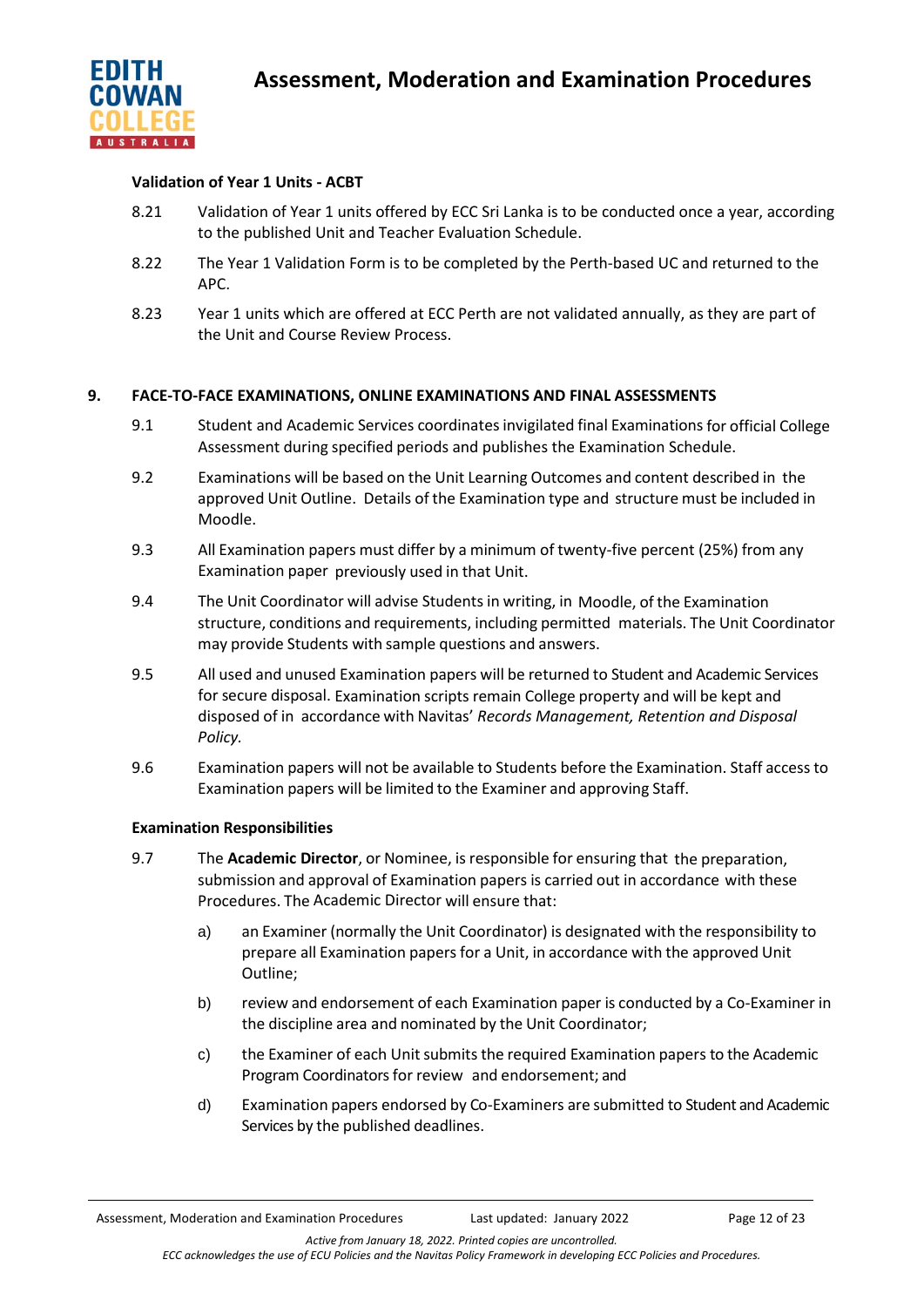

## **Validation of Year 1 Units - ACBT**

- 8.21 Validation of Year 1 units offered by ECC Sri Lanka is to be conducted once a year, according to the published Unit and Teacher Evaluation Schedule.
- 8.22 The Year 1 Validation Form is to be completed by the Perth-based UC and returned to the APC.
- 8.23 Year 1 units which are offered at ECC Perth are not validated annually, as they are part of the Unit and Course Review Process.

## **9. FACE-TO-FACE EXAMINATIONS, ONLINE EXAMINATIONS AND FINAL ASSESSMENTS**

- 9.1 Student and Academic Services coordinatesinvigilated final Examinations for official College Assessment during specified periods and publishes the Examination Schedule.
- 9.2 Examinations will be based on the Unit Learning Outcomes and content described in the approved Unit Outline. Details of the Examination type and structure must be included in Moodle.
- 9.3 All Examination papers must differ by a minimum of twenty-five percent (25%) from any Examination paper previously used in that Unit.
- 9.4 The Unit Coordinator will advise Students in writing, in Moodle, of the Examination structure, conditions and requirements, including permitted materials. The Unit Coordinator may provide Students with sample questions and answers.
- 9.5 All used and unused Examination papers will be returned to Student and Academic Services for secure disposal. Examination scripts remain College property and will be kept and disposed of in accordance with Navitas' *Records Management, Retention and Disposal Policy.*
- 9.6 Examination papers will not be available to Students before the Examination. Staff access to Examination papers will be limited to the Examiner and approving Staff.

## **Examination Responsibilities**

- 9.7 The **Academic Director**, or Nominee, is responsible for ensuring that the preparation, submission and approval of Examination papers is carried out in accordance with these Procedures. The Academic Director will ensure that:
	- a) an Examiner (normally the Unit Coordinator) is designated with the responsibility to prepare all Examination papers for a Unit, in accordance with the approved Unit Outline;
	- b) review and endorsement of each Examination paper is conducted by a Co-Examiner in the discipline area and nominated by the Unit Coordinator;
	- c) the Examiner of each Unit submits the required Examination papers to the Academic Program Coordinators for review and endorsement; and
	- d) Examination papers endorsed by Co-Examiners are submitted to Student and Academic Services by the published deadlines.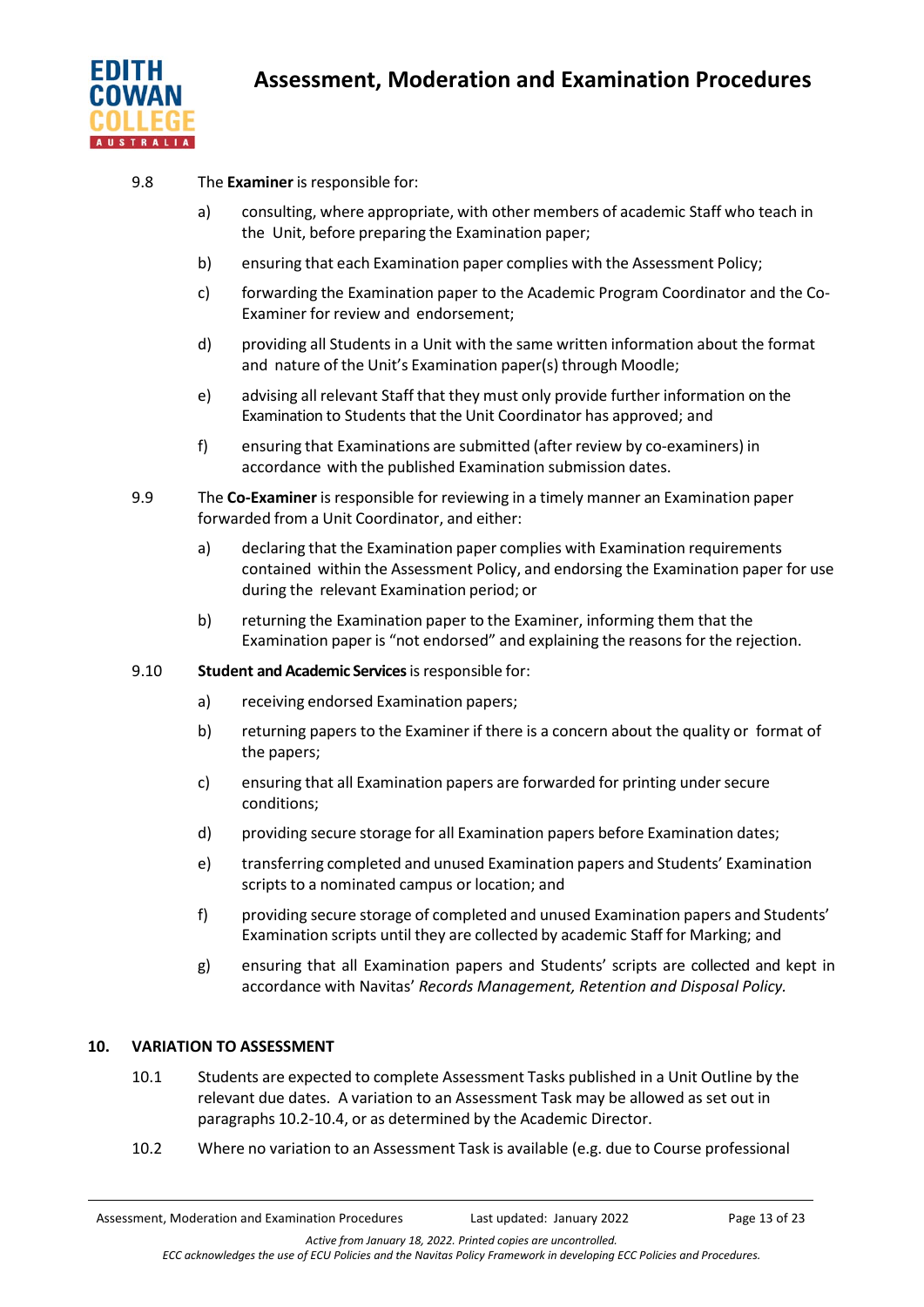

- 9.8 The **Examiner** is responsible for:
	- a) consulting, where appropriate, with other members of academic Staff who teach in the Unit, before preparing the Examination paper;
	- b) ensuring that each Examination paper complies with the Assessment Policy;
	- c) forwarding the Examination paper to the Academic Program Coordinator and the Co-Examiner for review and endorsement;
	- d) providing all Students in a Unit with the same written information about the format and nature of the Unit's Examination paper(s) through Moodle;
	- e) advising all relevant Staff that they must only provide further information on the Examination to Students that the Unit Coordinator has approved; and
	- f) ensuring that Examinations are submitted (after review by co-examiners) in accordance with the published Examination submission dates.
- 9.9 The **Co-Examiner** is responsible for reviewing in a timely manner an Examination paper forwarded from a Unit Coordinator, and either:
	- a) declaring that the Examination paper complies with Examination requirements contained within the Assessment Policy, and endorsing the Examination paper for use during the relevant Examination period; or
	- b) returning the Examination paper to the Examiner, informing them that the Examination paper is "not endorsed" and explaining the reasons for the rejection.
- 9.10 **Student and Academic Services** isresponsible for:
	- a) receiving endorsed Examination papers;
	- b) returning papers to the Examiner if there is a concern about the quality or format of the papers;
	- c) ensuring that all Examination papers are forwarded for printing undersecure conditions;
	- d) providing secure storage for all Examination papers before Examination dates;
	- e) transferring completed and unused Examination papers and Students' Examination scripts to a nominated campus or location; and
	- f) providing secure storage of completed and unused Examination papers and Students' Examination scripts until they are collected by academic Staff for Marking; and
	- g) ensuring that all Examination papers and Students' scripts are collected and kept in accordance with Navitas' *Records Management, Retention and Disposal Policy.*

# **10. VARIATION TO ASSESSMENT**

- 10.1 Students are expected to complete Assessment Tasks published in a Unit Outline by the relevant due dates. A variation to an Assessment Task may be allowed as set out in paragraphs 10.2-10.4, or as determined by the Academic Director.
- 10.2 Where no variation to an Assessment Task is available (e.g. due to Course professional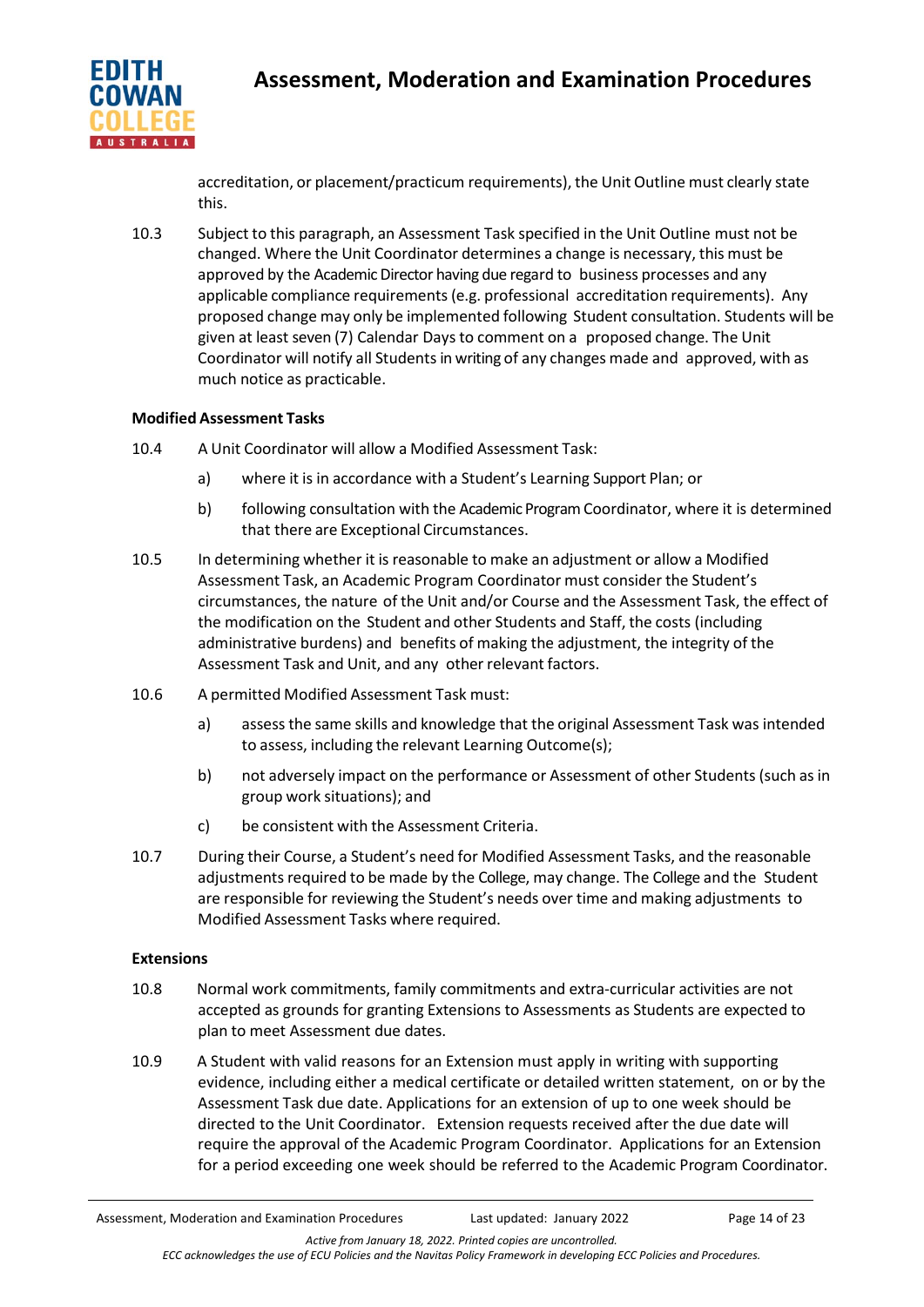

accreditation, or placement/practicum requirements), the Unit Outline must clearly state this.

10.3 Subject to this paragraph, an Assessment Task specified in the Unit Outline must not be changed. Where the Unit Coordinator determines a change is necessary, this must be approved by the Academic Director having due regard to business processes and any applicable compliance requirements(e.g. professional accreditation requirements). Any proposed change may only be implemented following Student consultation. Students will be given at least seven (7) Calendar Days to comment on a proposed change. The Unit Coordinator will notify all Students in writing of any changes made and approved, with as much notice as practicable.

# **Modified Assessment Tasks**

- 10.4 A Unit Coordinator will allow a Modified Assessment Task:
	- a) where it is in accordance with a Student's Learning Support Plan; or
	- b) following consultation with the Academic ProgramCoordinator, where it is determined that there are Exceptional Circumstances.
- 10.5 In determining whether it is reasonable to make an adjustment or allow a Modified Assessment Task, an Academic Program Coordinator must consider the Student's circumstances, the nature of the Unit and/or Course and the Assessment Task, the effect of the modification on the Student and other Students and Staff, the costs (including administrative burdens) and benefits of making the adjustment, the integrity of the Assessment Task and Unit, and any other relevant factors.
- 10.6 A permitted Modified Assessment Task must:
	- a) assessthe same skills and knowledge that the original Assessment Task was intended to assess, including the relevant Learning Outcome(s);
	- b) not adversely impact on the performance or Assessment of other Students (such as in group work situations); and
	- c) be consistent with the Assessment Criteria.
- 10.7 During their Course, a Student's need for Modified Assessment Tasks, and the reasonable adjustments required to be made by the College, may change. The College and the Student are responsible for reviewing the Student's needs over time and making adjustments to Modified Assessment Tasks where required.

## **Extensions**

- 10.8 Normal work commitments, family commitments and extra-curricular activities are not accepted as grounds for granting Extensions to Assessments as Students are expected to plan to meet Assessment due dates.
- 10.9 A Student with valid reasons for an Extension must apply in writing with supporting evidence, including either a medical certificate or detailed written statement, on or by the Assessment Task due date. Applications for an extension of up to one week should be directed to the Unit Coordinator. Extension requests received after the due date will require the approval of the Academic Program Coordinator. Applications for an Extension for a period exceeding one week should be referred to the Academic Program Coordinator.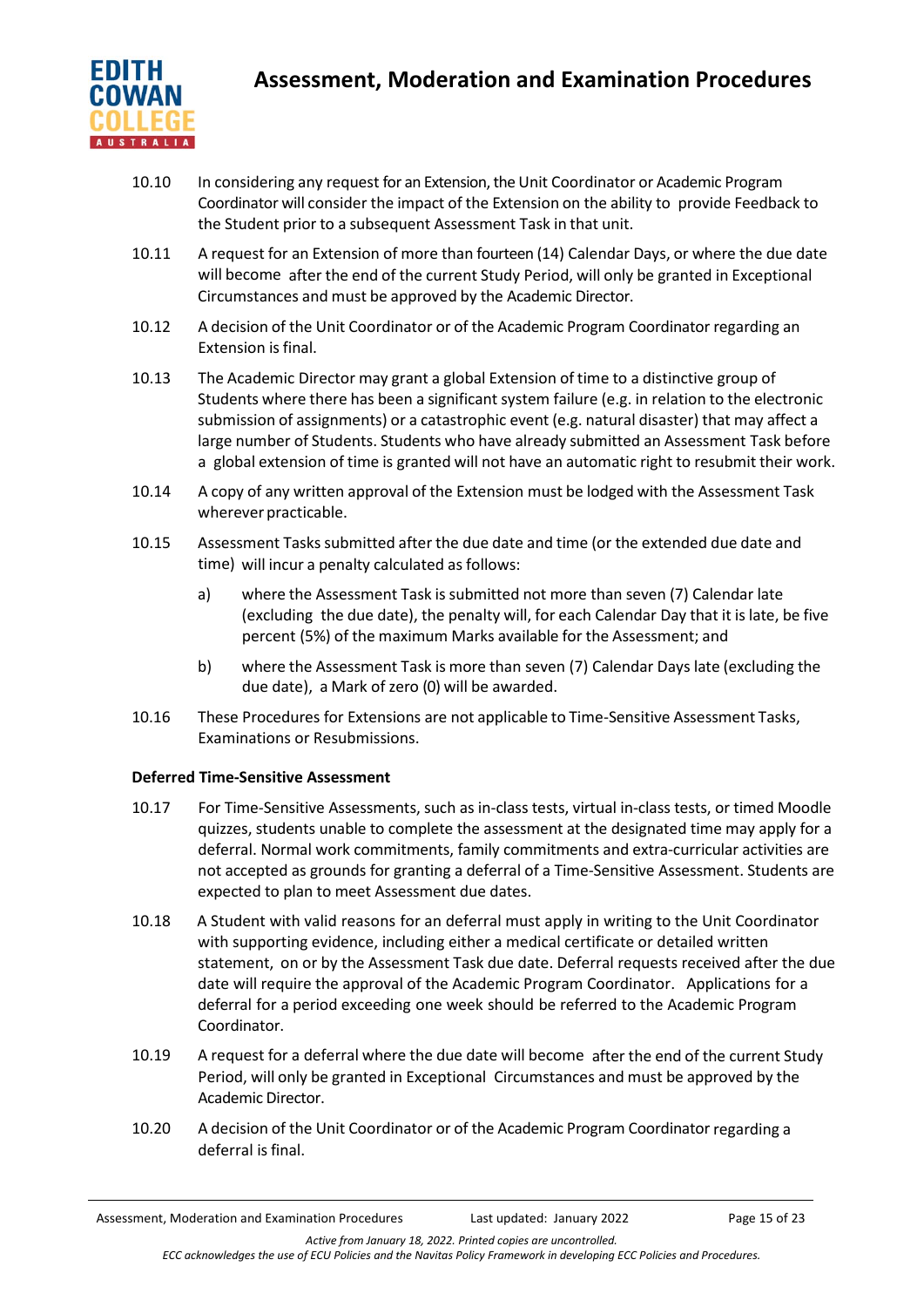

- 10.10 In considering any request for an Extension, the Unit Coordinator or Academic Program Coordinator will consider the impact of the Extension on the ability to provide Feedback to the Student prior to a subsequent Assessment Task in that unit.
- 10.11 A request for an Extension of more than fourteen (14) Calendar Days, or where the due date will become after the end of the current Study Period, will only be granted in Exceptional Circumstances and must be approved by the Academic Director.
- 10.12 A decision of the Unit Coordinator or of the Academic Program Coordinator regarding an Extension is final.
- 10.13 The Academic Director may grant a global Extension of time to a distinctive group of Students where there has been a significant system failure (e.g. in relation to the electronic submission of assignments) or a catastrophic event (e.g. natural disaster) that may affect a large number of Students. Students who have already submitted an Assessment Task before a global extension of time is granted will not have an automatic right to resubmit their work.
- 10.14 A copy of any written approval of the Extension must be lodged with the Assessment Task wherever practicable.
- 10.15 Assessment Tasks submitted after the due date and time (or the extended due date and time) will incur a penalty calculated as follows:
	- a) where the Assessment Task is submitted not more than seven (7) Calendar late (excluding the due date), the penalty will, for each Calendar Day that it is late, be five percent (5%) of the maximum Marks available for the Assessment; and
	- b) where the Assessment Task is more than seven (7) Calendar Days late (excluding the due date), a Mark of zero (0) will be awarded.
- 10.16 These Procedures for Extensions are not applicable to Time-Sensitive Assessment Tasks, Examinations or Resubmissions.

# **Deferred Time-Sensitive Assessment**

- 10.17 For Time-Sensitive Assessments, such as in-class tests, virtual in-class tests, or timed Moodle quizzes, students unable to complete the assessment at the designated time may apply for a deferral. Normal work commitments, family commitments and extra-curricular activities are not accepted as grounds for granting a deferral of a Time-Sensitive Assessment. Students are expected to plan to meet Assessment due dates.
- 10.18 A Student with valid reasons for an deferral must apply in writing to the Unit Coordinator with supporting evidence, including either a medical certificate or detailed written statement, on or by the Assessment Task due date. Deferral requests received after the due date will require the approval of the Academic Program Coordinator. Applications for a deferral for a period exceeding one week should be referred to the Academic Program Coordinator.
- 10.19 A request for a deferral where the due date will become after the end of the current Study Period, will only be granted in Exceptional Circumstances and must be approved by the Academic Director.
- 10.20 A decision of the Unit Coordinator or of the Academic Program Coordinator regarding a deferral is final.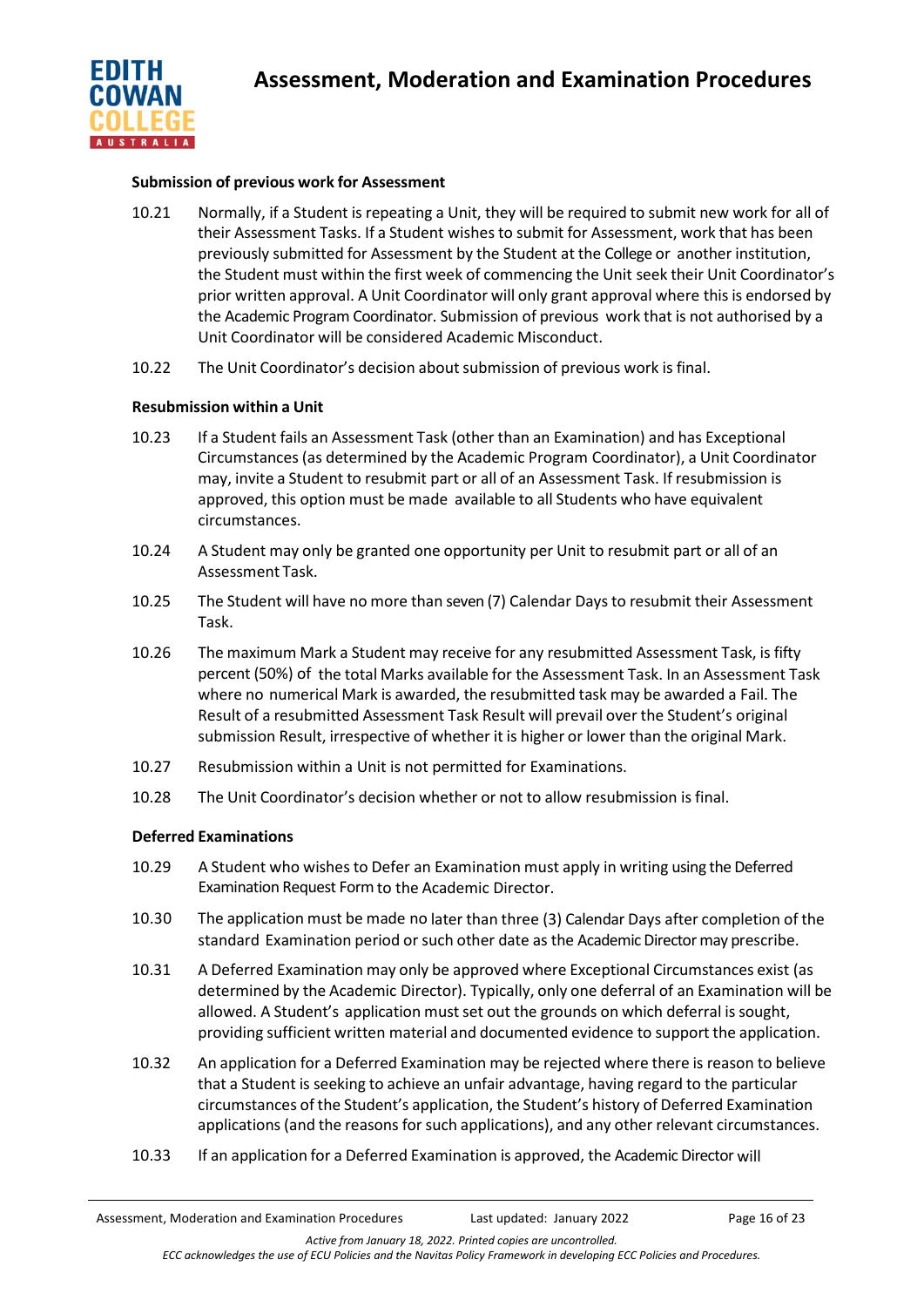

## **Submission of previous work for Assessment**

- 10.21 Normally, if a Student is repeating a Unit, they will be required to submit new work for all of their Assessment Tasks. If a Student wishes to submit for Assessment, work that has been previously submitted for Assessment by the Student at the College or another institution, the Student must within the first week of commencing the Unit seek their Unit Coordinator's prior written approval. A Unit Coordinator will only grant approval where this is endorsed by the Academic Program Coordinator. Submission of previous work that is not authorised by a Unit Coordinator will be considered Academic Misconduct.
- 10.22 The Unit Coordinator's decision aboutsubmission of previous work is final.

## **Resubmission within a Unit**

- 10.23 If a Student fails an Assessment Task (other than an Examination) and has Exceptional Circumstances (as determined by the Academic Program Coordinator), a Unit Coordinator may, invite a Student to resubmit part or all of an Assessment Task. If resubmission is approved, this option must be made available to all Students who have equivalent circumstances.
- 10.24 A Student may only be granted one opportunity per Unit to resubmit part or all of an Assessment Task.
- 10.25 The Student will have no more than seven (7) Calendar Days to resubmit their Assessment Task.
- 10.26 The maximum Mark a Student may receive for any resubmitted Assessment Task, is fifty percent (50%) of the total Marks available for the Assessment Task. In an Assessment Task where no numerical Mark is awarded, the resubmitted task may be awarded a Fail. The Result of a resubmitted Assessment Task Result will prevail over the Student's original submission Result, irrespective of whether it is higher or lower than the original Mark.
- 10.27 Resubmission within a Unit is not permitted for Examinations.
- 10.28 The Unit Coordinator's decision whether or not to allow resubmission is final.

## **Deferred Examinations**

- 10.29 A Student who wishes to Defer an Examination must apply in writing using the Deferred Examination Request Formto the Academic Director.
- 10.30 The application must be made no later than three (3) Calendar Days after completion of the standard Examination period orsuch other date as the Academic Director may prescribe.
- 10.31 A Deferred Examination may only be approved where Exceptional Circumstances exist (as determined by the Academic Director). Typically, only one deferral of an Examination will be allowed. A Student's application mustset out the grounds on which deferral is sought, providing sufficient written material and documented evidence to support the application.
- 10.32 An application for a Deferred Examination may be rejected where there is reason to believe that a Student is seeking to achieve an unfair advantage, having regard to the particular circumstances of the Student's application, the Student's history of Deferred Examination applications (and the reasons forsuch applications), and any other relevant circumstances.
- 10.33 If an application for a Deferred Examination is approved, the Academic Director will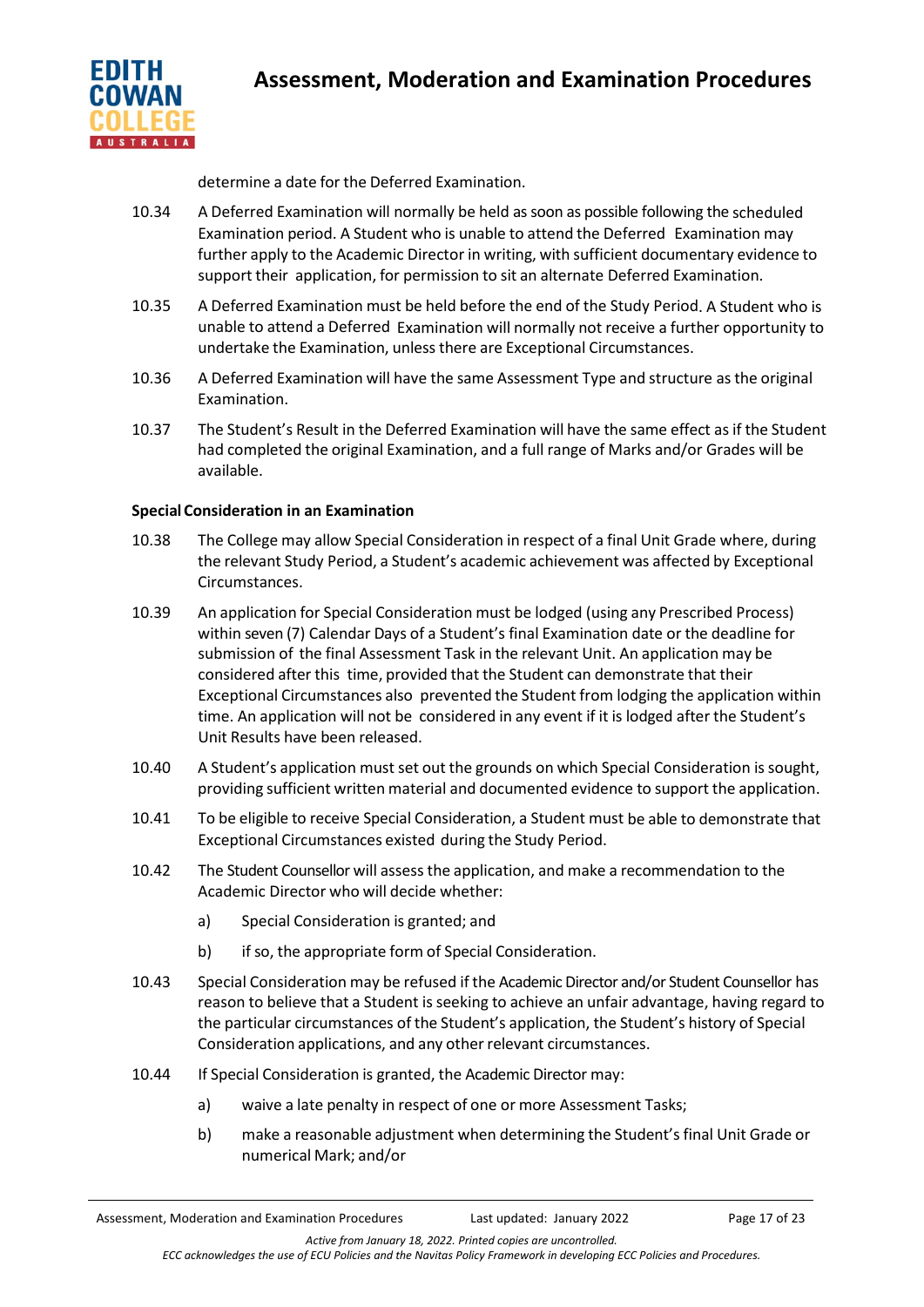

determine a date for the Deferred Examination.

- 10.34 A Deferred Examination will normally be held as soon as possible following the scheduled Examination period. A Student who is unable to attend the Deferred Examination may further apply to the Academic Director in writing, with sufficient documentary evidence to support their application, for permission to sit an alternate Deferred Examination.
- 10.35 A Deferred Examination must be held before the end of the Study Period. A Student who is unable to attend a Deferred Examination will normally not receive a further opportunity to undertake the Examination, unless there are Exceptional Circumstances.
- 10.36 A Deferred Examination will have the same Assessment Type and structure asthe original Examination.
- 10.37 The Student's Result in the Deferred Examination will have the same effect as if the Student had completed the original Examination, and a full range of Marks and/or Grades will be available.

# **Special Consideration in an Examination**

- 10.38 The College may allow Special Consideration in respect of a final Unit Grade where, during the relevant Study Period, a Student's academic achievement was affected by Exceptional Circumstances.
- 10.39 An application for Special Consideration must be lodged (using any Prescribed Process) within seven (7) Calendar Days of a Student's final Examination date or the deadline for submission of the final Assessment Task in the relevant Unit. An application may be considered after this time, provided that the Student can demonstrate that their Exceptional Circumstances also prevented the Student from lodging the application within time. An application will not be considered in any event if it is lodged after the Student's Unit Results have been released.
- 10.40 A Student's application must set out the grounds on which Special Consideration is sought, providing sufficient written material and documented evidence to support the application.
- 10.41 To be eligible to receive Special Consideration, a Student must be able to demonstrate that Exceptional Circumstances existed during the Study Period.
- 10.42 The Student Counsellor will assess the application, and make a recommendation to the Academic Director who will decide whether:
	- a) Special Consideration is granted; and
	- b) if so, the appropriate form of Special Consideration.
- 10.43 Special Consideration may be refused if the Academic Director and/or Student Counsellor has reason to believe that a Student is seeking to achieve an unfair advantage, having regard to the particular circumstances of the Student's application, the Student's history of Special Consideration applications, and any other relevant circumstances.
- 10.44 If Special Consideration is granted, the Academic Director may:
	- a) waive a late penalty in respect of one or more Assessment Tasks;
	- b) make a reasonable adjustment when determining the Student's final Unit Grade or numerical Mark; and/or

*ECC acknowledges the use of ECU Policies and the Navitas Policy Framework in developing ECC Policies and Procedures.*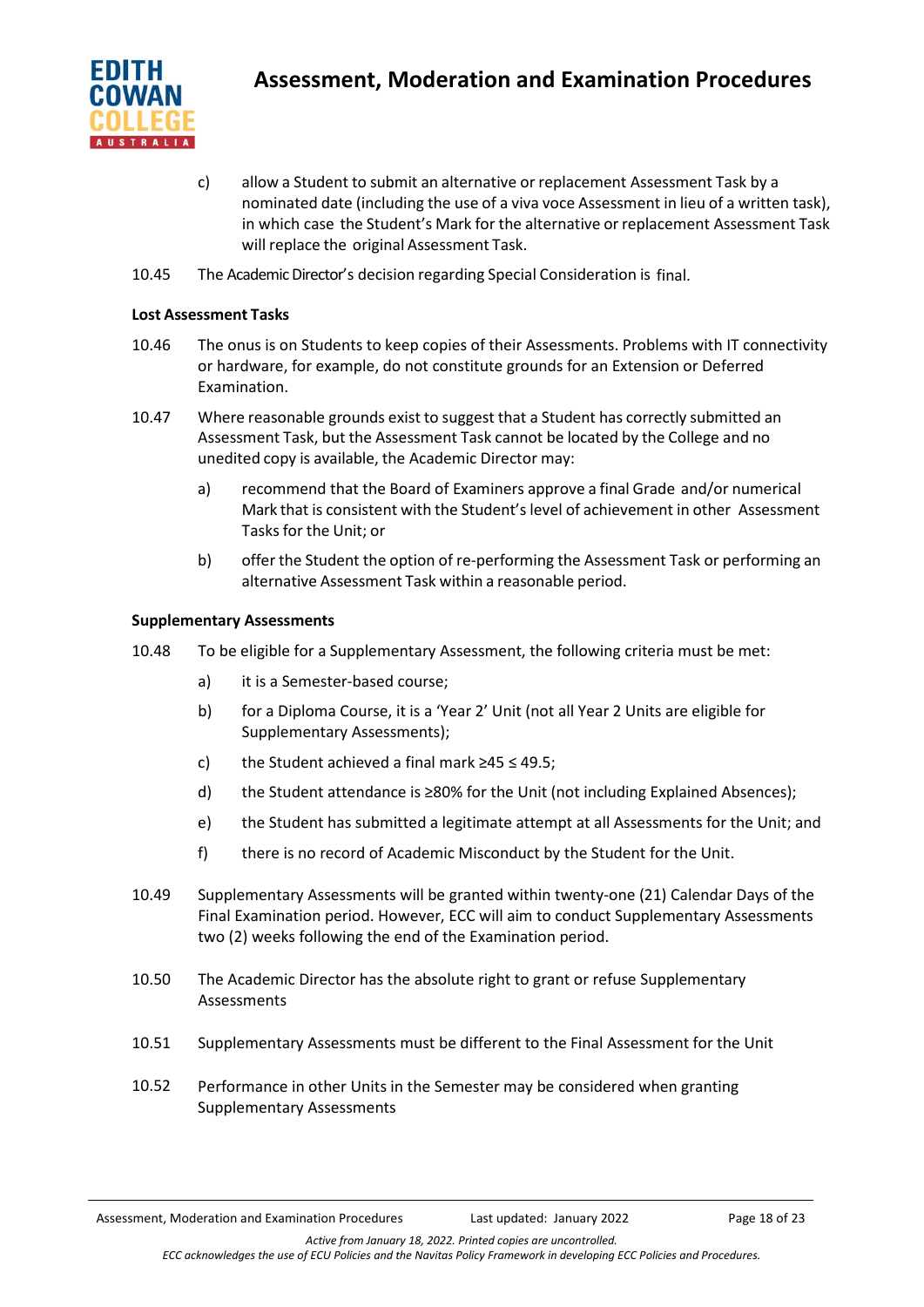

- c) allow a Student to submit an alternative or replacement Assessment Task by a nominated date (including the use of a viva voce Assessment in lieu of a written task), in which case the Student's Mark for the alternative or replacement Assessment Task will replace the original Assessment Task.
- 10.45 The Academic Director's decision regarding Special Consideration is final.

## **Lost Assessment Tasks**

- 10.46 The onus is on Students to keep copies of their Assessments. Problems with IT connectivity or hardware, for example, do not constitute grounds for an Extension or Deferred Examination.
- 10.47 Where reasonable grounds exist to suggest that a Student has correctly submitted an Assessment Task, but the Assessment Task cannot be located by the College and no unedited copy is available, the Academic Director may:
	- a) recommend that the Board of Examiners approve a final Grade and/or numerical Mark that is consistent with the Student's level of achievement in other Assessment Tasks for the Unit; or
	- b) offer the Student the option of re-performing the Assessment Task or performing an alternative Assessment Task within a reasonable period.

## **Supplementary Assessments**

- 10.48 To be eligible for a Supplementary Assessment, the following criteria must be met:
	- a) it is a Semester-based course;
	- b) for a Diploma Course, it is a 'Year 2' Unit (not all Year 2 Units are eligible for Supplementary Assessments);
	- c) the Student achieved a final mark  $\geq 45 \leq 49.5$ ;
	- d) the Student attendance is ≥80% for the Unit (not including Explained Absences);
	- e) the Student has submitted a legitimate attempt at all Assessments for the Unit; and
	- f) there is no record of Academic Misconduct by the Student for the Unit.
- 10.49 Supplementary Assessments will be granted within twenty-one (21) Calendar Days of the Final Examination period. However, ECC will aim to conduct Supplementary Assessments two (2) weeks following the end of the Examination period.
- 10.50 The Academic Director has the absolute right to grant or refuse Supplementary Assessments
- 10.51 Supplementary Assessments must be different to the Final Assessment for the Unit
- 10.52 Performance in other Units in the Semester may be considered when granting Supplementary Assessments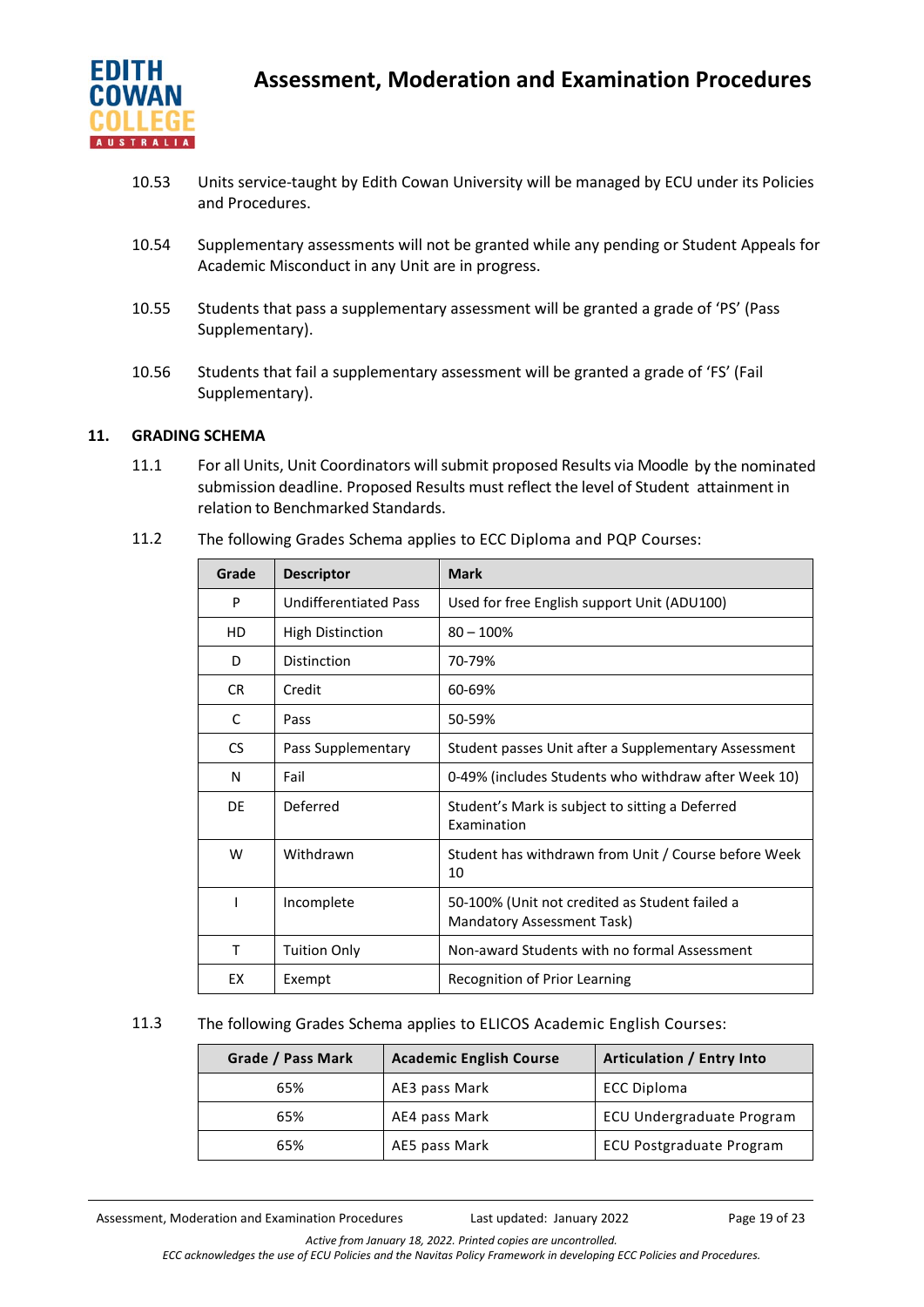

- 10.53 Units service-taught by Edith Cowan University will be managed by ECU under its Policies and Procedures.
- 10.54 Supplementary assessments will not be granted while any pending or Student Appeals for Academic Misconduct in any Unit are in progress.
- 10.55 Students that pass a supplementary assessment will be granted a grade of 'PS' (Pass Supplementary).
- 10.56 Students that fail a supplementary assessment will be granted a grade of 'FS' (Fail Supplementary).

## **11. GRADING SCHEMA**

11.1 For all Units, Unit Coordinators will submit proposed Results via Moodle by the nominated submission deadline. Proposed Results must reflect the level of Student attainment in relation to Benchmarked Standards.

| Grade | <b>Descriptor</b>            | <b>Mark</b>                                                                  |
|-------|------------------------------|------------------------------------------------------------------------------|
| P     | <b>Undifferentiated Pass</b> | Used for free English support Unit (ADU100)                                  |
| HD    | <b>High Distinction</b>      | $80 - 100%$                                                                  |
| D.    | Distinction                  | 70-79%                                                                       |
| CR.   | Credit                       | 60-69%                                                                       |
| C     | Pass                         | 50-59%                                                                       |
| CS.   | Pass Supplementary           | Student passes Unit after a Supplementary Assessment                         |
| N     | Fail                         | 0-49% (includes Students who withdraw after Week 10)                         |
| DE    | Deferred                     | Student's Mark is subject to sitting a Deferred<br>Examination               |
| W     | Withdrawn                    | Student has withdrawn from Unit / Course before Week<br>10                   |
|       | Incomplete                   | 50-100% (Unit not credited as Student failed a<br>Mandatory Assessment Task) |
| т     | <b>Tuition Only</b>          | Non-award Students with no formal Assessment                                 |
| EX    | Exempt                       | Recognition of Prior Learning                                                |

11.2 The following Grades Schema applies to ECC Diploma and PQP Courses:

## 11.3 The following Grades Schema applies to ELICOS Academic English Courses:

| Grade / Pass Mark | <b>Academic English Course</b> | Articulation / Entry Into       |
|-------------------|--------------------------------|---------------------------------|
| 65%               | AE3 pass Mark                  | <b>ECC Diploma</b>              |
| 65%               | AE4 pass Mark                  | ECU Undergraduate Program       |
| 65%               | AE5 pass Mark                  | <b>ECU Postgraduate Program</b> |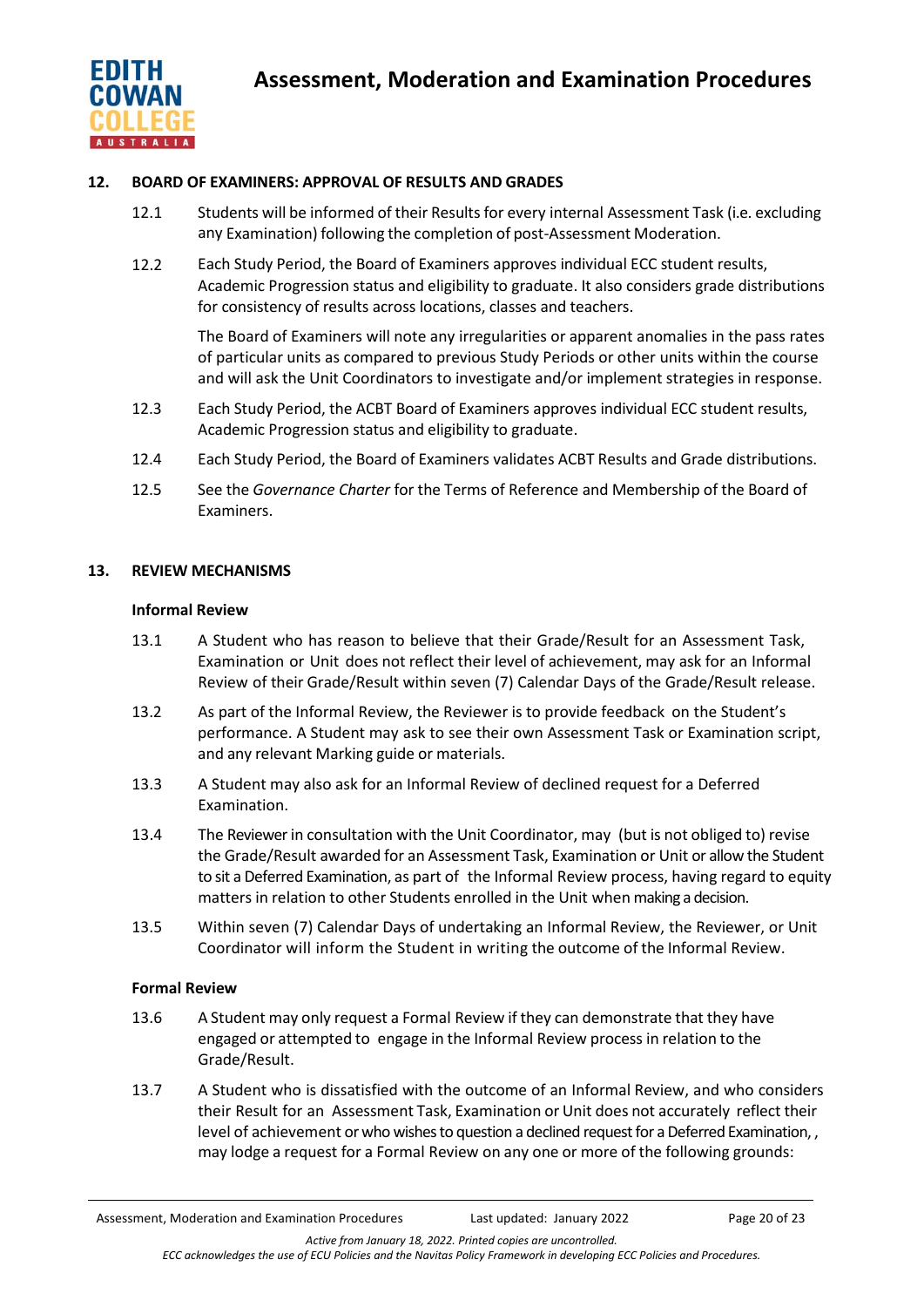

## **12. BOARD OF EXAMINERS: APPROVAL OF RESULTS AND GRADES**

- 12.1 Students will be informed of their Results for every internal Assessment Task (i.e. excluding any Examination) following the completion of post-Assessment Moderation.
- 12.2 Each Study Period, the Board of Examiners approves individual ECC student results, Academic Progression status and eligibility to graduate. It also considers grade distributions for consistency of results across locations, classes and teachers.

The Board of Examiners will note any irregularities or apparent anomalies in the pass rates of particular units as compared to previous Study Periods or other units within the course and will ask the Unit Coordinators to investigate and/or implement strategies in response.

- 12.3 Each Study Period, the ACBT Board of Examiners approves individual ECC student results, Academic Progression status and eligibility to graduate.
- 12.4 Each Study Period, the Board of Examiners validates ACBT Results and Grade distributions.
- 12.5 See the *Governance Charter* for the Terms of Reference and Membership of the Board of Examiners.

## **13. REVIEW MECHANISMS**

## **Informal Review**

- 13.1 A Student who has reason to believe that their Grade/Result for an Assessment Task, Examination or Unit does not reflect their level of achievement, may ask for an Informal Review of their Grade/Result within seven (7) Calendar Days of the Grade/Result release.
- 13.2 As part of the Informal Review, the Reviewer is to provide feedback on the Student's performance. A Student may ask to see their own Assessment Task or Examination script, and any relevant Marking guide or materials.
- 13.3 A Student may also ask for an Informal Review of declined request for a Deferred Examination.
- 13.4 The Reviewerin consultation with the Unit Coordinator, may (but is not obliged to) revise the Grade/Result awarded for an Assessment Task, Examination or Unit or allow the Student to sit a Deferred Examination, as part of the Informal Review process, having regard to equity matters in relation to other Students enrolled in the Unit when making a decision.
- 13.5 Within seven (7) Calendar Days of undertaking an Informal Review, the Reviewer, or Unit Coordinator will inform the Student in writing the outcome of the Informal Review.

## **Formal Review**

- 13.6 A Student may only request a Formal Review if they can demonstrate that they have engaged or attempted to engage in the Informal Review process in relation to the Grade/Result.
- 13.7 A Student who is dissatisfied with the outcome of an Informal Review, and who considers their Result for an Assessment Task, Examination or Unit does not accurately reflect their level of achievement or who wishes to question a declined request for a Deferred Examination, , may lodge a request for a Formal Review on any one or more of the following grounds: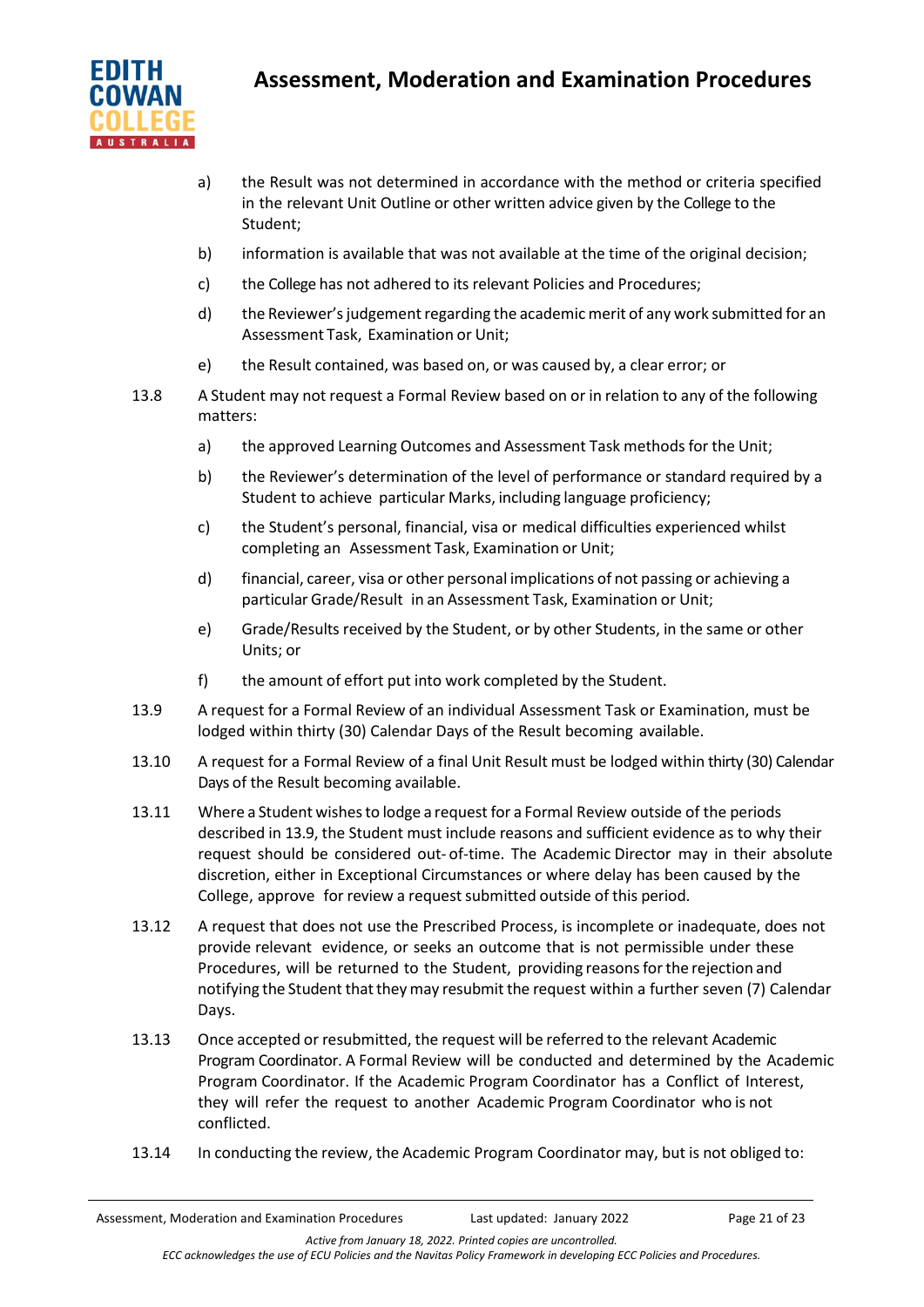

# **Assessment, Moderation and Examination Procedures**

- a) the Result was not determined in accordance with the method or criteria specified in the relevant Unit Outline or other written advice given by the College to the Student;
- b) information is available that was not available at the time of the original decision;
- c) the College has not adhered to its relevant Policies and Procedures;
- d) the Reviewer's judgement regarding the academic merit of any work submitted for an Assessment Task, Examination or Unit;
- e) the Result contained, was based on, or was caused by, a clear error; or
- 13.8 A Student may not request a Formal Review based on or in relation to any of the following matters:
	- a) the approved Learning Outcomes and Assessment Task methods for the Unit;
	- b) the Reviewer's determination of the level of performance or standard required by a Student to achieve particular Marks, including language proficiency;
	- c) the Student's personal, financial, visa or medical difficulties experienced whilst completing an Assessment Task, Examination or Unit;
	- d) financial, career, visa or other personal implications of not passing or achieving a particular Grade/Result in an Assessment Task, Examination or Unit;
	- e) Grade/Results received by the Student, or by other Students, in the same or other Units; or
	- f) the amount of effort put into work completed by the Student.
- 13.9 A request for a Formal Review of an individual Assessment Task or Examination, must be lodged within thirty (30) Calendar Days of the Result becoming available.
- 13.10 A request for a Formal Review of a final Unit Result must be lodged within thirty (30) Calendar Days of the Result becoming available.
- 13.11 Where a Student wishesto lodge a request for a Formal Review outside of the periods described in 13.9, the Student must include reasons and sufficient evidence as to why their request should be considered out- of-time. The Academic Director may in their absolute discretion, either in Exceptional Circumstances or where delay has been caused by the College, approve for review a request submitted outside of this period.
- 13.12 A request that does not use the Prescribed Process, is incomplete or inadequate, does not provide relevant evidence, or seeks an outcome that is not permissible under these Procedures, will be returned to the Student, providing reasonsforthe rejection and notifying the Student that they may resubmit the request within a further seven (7) Calendar Days.
- 13.13 Once accepted or resubmitted, the request will be referred to the relevant Academic Program Coordinator. A Formal Review will be conducted and determined by the Academic Program Coordinator. If the Academic Program Coordinator has a Conflict of Interest, they will refer the request to another Academic Program Coordinator who is not conflicted.
- 13.14 In conducting the review, the Academic Program Coordinator may, but is not obliged to: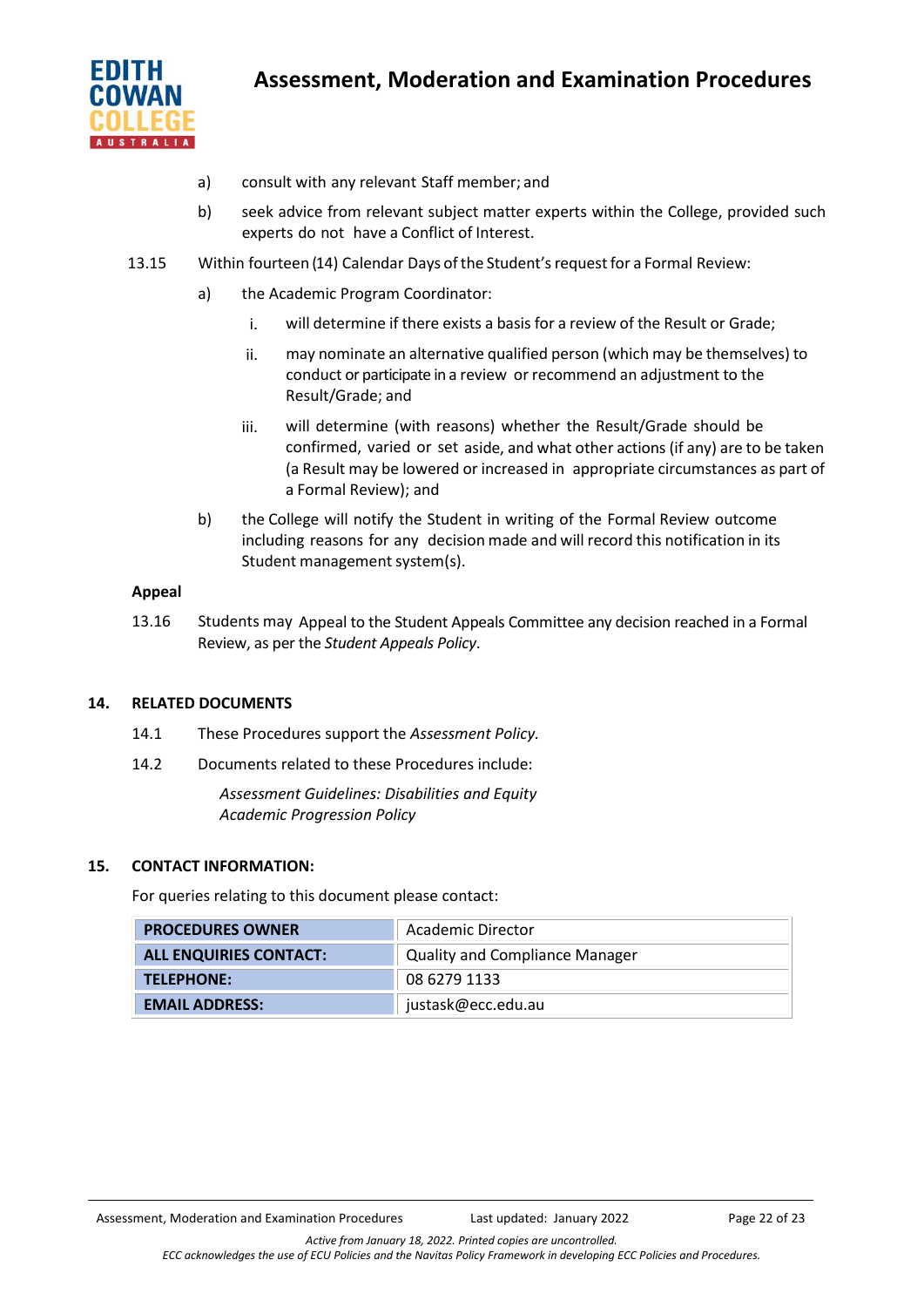

- a) consult with any relevant Staff member; and
- b) seek advice from relevant subject matter experts within the College, provided such experts do not have a Conflict of Interest.
- 13.15 Within fourteen (14) Calendar Days of the Student's request for a Formal Review:
	- a) the Academic Program Coordinator:
		- i. will determine if there exists a basis for a review of the Result or Grade;
		- ii. may nominate an alternative qualified person (which may be themselves) to conduct or participate in a review or recommend an adjustment to the Result/Grade; and
		- iii. will determine (with reasons) whether the Result/Grade should be confirmed, varied or set aside, and what other actions (if any) are to be taken (a Result may be lowered or increased in appropriate circumstances as part of a Formal Review); and
	- b) the College will notify the Student in writing of the Formal Review outcome including reasons for any decision made and will record this notification in its Student management system(s).

## **Appeal**

13.16 Students may Appeal to the Student Appeals Committee any decision reached in a Formal Review, as per the *Student Appeals Policy*.

## **14. RELATED DOCUMENTS**

- 14.1 These Procedures support the *Assessment Policy.*
- 14.2 Documents related to these Procedures include:

*Assessment Guidelines: Disabilities and Equity Academic Progression Policy*

## **15. CONTACT INFORMATION:**

For queries relating to this document please contact:

| <b>PROCEDURES OWNER</b>       | Academic Director                     |
|-------------------------------|---------------------------------------|
| <b>ALL ENQUIRIES CONTACT:</b> | <b>Quality and Compliance Manager</b> |
| TELEPHONE:                    | 08 6279 1133                          |
| <b>EMAIL ADDRESS:</b>         | justask@ecc.edu.au                    |